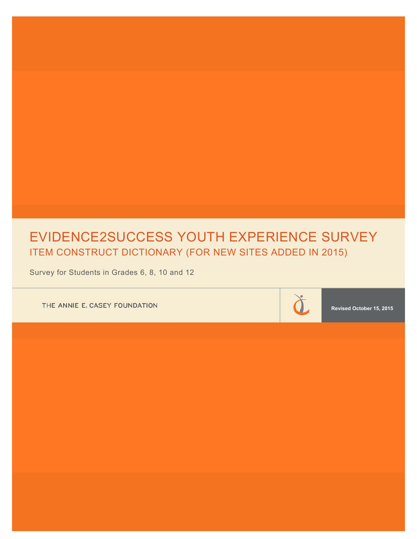# EVIDENCE2SUCCESS YOUTH EXPERIENCE SURVEY ITEM CONSTRUCT DICTIONARY (FOR NEW SITES ADDED IN 2015)

Survey for Students in Grades 6, 8, 10 and 12

THE ANNIE E. CASEY FOUNDATION



**Revised October 15, 2015**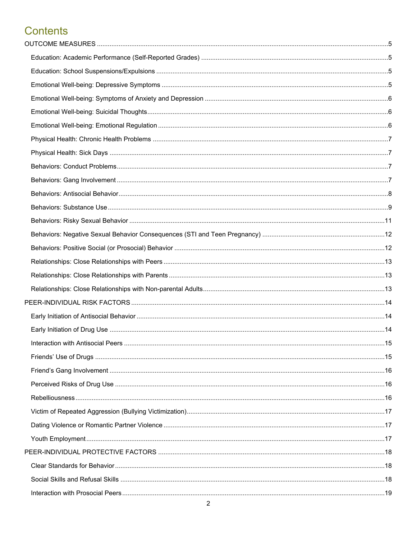# **Contents**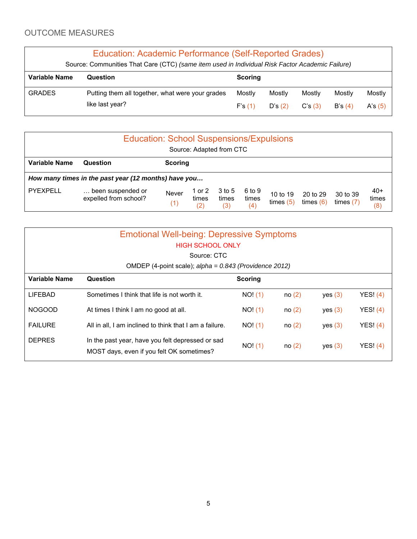## OUTCOME MEASURES

| Education: Academic Performance (Self-Reported Grades)<br>Source: Communities That Care (CTC) (same item used in Individual Risk Factor Academic Failure) |                                                                     |                  |                  |                  |                  |                     |
|-----------------------------------------------------------------------------------------------------------------------------------------------------------|---------------------------------------------------------------------|------------------|------------------|------------------|------------------|---------------------|
| Variable Name                                                                                                                                             | Question                                                            | <b>Scoring</b>   |                  |                  |                  |                     |
| <b>GRADES</b>                                                                                                                                             | Putting them all together, what were your grades<br>like last year? | Mostly<br>F's(1) | Mostly<br>D's(2) | Mostly<br>C's(3) | Mostly<br>B's(4) | Mostly<br>A's $(5)$ |

| <b>Education: School Suspensions/Expulsions</b><br>Source: Adapted from CTC |                                                      |              |                        |                        |                        |                         |                         |                         |                       |
|-----------------------------------------------------------------------------|------------------------------------------------------|--------------|------------------------|------------------------|------------------------|-------------------------|-------------------------|-------------------------|-----------------------|
| Variable Name                                                               | <b>Scoring</b><br>Question                           |              |                        |                        |                        |                         |                         |                         |                       |
|                                                                             | How many times in the past year (12 months) have you |              |                        |                        |                        |                         |                         |                         |                       |
| PYEXPELL                                                                    | been suspended or<br>expelled from school?           | Never<br>(1) | or $2$<br>times<br>(2) | 3 to 5<br>times<br>(3) | 6 to 9<br>times<br>(4) | 10 to 19<br>times $(5)$ | 20 to 29<br>times $(6)$ | 30 to 39<br>times $(7)$ | $40+$<br>times<br>(8) |

| <b>Emotional Well-being: Depressive Symptoms</b><br>HIGH SCHOOL ONLY<br>Source: CTC<br>OMDEP (4-point scale); $alpha = 0.843$ (Providence 2012) |                                                                                               |                |       |         |            |
|-------------------------------------------------------------------------------------------------------------------------------------------------|-----------------------------------------------------------------------------------------------|----------------|-------|---------|------------|
| <b>Variable Name</b>                                                                                                                            | Question                                                                                      | <b>Scoring</b> |       |         |            |
| LIFEBAD                                                                                                                                         | Sometimes I think that life is not worth it.                                                  | NO! (1)        | no(2) | yes (3) | YESI (4)   |
| <b>NOGOOD</b>                                                                                                                                   | At times I think I am no good at all.                                                         | NO! (1)        | no(2) | yes (3) | YES! $(4)$ |
| <b>FAILURE</b>                                                                                                                                  | All in all, I am inclined to think that I am a failure.                                       | NO! (1)        | no(2) | yes (3) | YESI (4)   |
| <b>DEPRES</b>                                                                                                                                   | In the past year, have you felt depressed or sad<br>MOST days, even if you felt OK sometimes? | NO! (1)        | no(2) | yes (3) | YES! $(4)$ |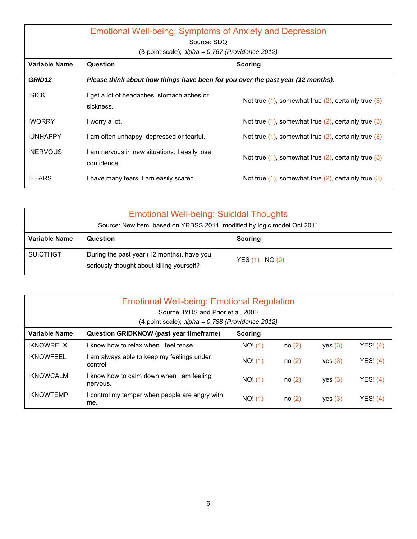|                    | <b>Emotional Well-being: Symptoms of Anxiety and Depression</b>                 |                                                             |  |  |  |  |
|--------------------|---------------------------------------------------------------------------------|-------------------------------------------------------------|--|--|--|--|
|                    | Source: SDQ                                                                     |                                                             |  |  |  |  |
|                    | $(3$ -point scale); alpha = 0.767 (Providence 2012)                             |                                                             |  |  |  |  |
| Variable Name      | Question                                                                        | <b>Scoring</b>                                              |  |  |  |  |
| GRID <sub>12</sub> | Please think about how things have been for you over the past year (12 months). |                                                             |  |  |  |  |
| <b>ISICK</b>       | I get a lot of headaches, stomach aches or<br>sickness.                         | Not true $(1)$ , somewhat true $(2)$ , certainly true $(3)$ |  |  |  |  |
| <b>IWORRY</b>      | I worry a lot.                                                                  | Not true $(1)$ , somewhat true $(2)$ , certainly true $(3)$ |  |  |  |  |
| <b>IUNHAPPY</b>    | I am often unhappy, depressed or tearful.                                       | Not true $(1)$ , somewhat true $(2)$ , certainly true $(3)$ |  |  |  |  |
| <b>INERVOUS</b>    | I am nervous in new situations. I easily lose<br>confidence.                    | Not true $(1)$ , somewhat true $(2)$ , certainly true $(3)$ |  |  |  |  |
| <b>IFEARS</b>      | I have many fears. I am easily scared.                                          | Not true $(1)$ , somewhat true $(2)$ , certainly true $(3)$ |  |  |  |  |

|                      | <b>Emotional Well-being: Suicidal Thoughts</b><br>Source: New item, based on YRBSS 2011, modified by logic model Oct 2011 |                    |  |  |  |
|----------------------|---------------------------------------------------------------------------------------------------------------------------|--------------------|--|--|--|
| <b>Variable Name</b> | Question                                                                                                                  | <b>Scoring</b>     |  |  |  |
| <b>SUICTHGT</b>      | During the past year (12 months), have you<br>seriously thought about killing yourself?                                   | YES $(1)$ NO $(0)$ |  |  |  |

| <b>Emotional Well-being: Emotional Regulation</b><br>Source: IYDS and Prior et al, 2000<br>(4-point scale); $alpha = 0.788$ (Providence 2012) |                                                        |                |       |         |            |
|-----------------------------------------------------------------------------------------------------------------------------------------------|--------------------------------------------------------|----------------|-------|---------|------------|
| Variable Name                                                                                                                                 | <b>Question GRIDKNOW (past year timeframe)</b>         | <b>Scoring</b> |       |         |            |
| <b>IKNOWRELX</b>                                                                                                                              | I know how to relax when I feel tense.                 | NO! (1)        | no(2) | yes (3) | YESI (4)   |
| <b>IKNOWFEEL</b>                                                                                                                              | I am always able to keep my feelings under<br>control. | NO! (1)        | no(2) | yes (3) | YESI (4)   |
| <b>IKNOWCALM</b>                                                                                                                              | I know how to calm down when I am feeling<br>nervous.  | NO! (1)        | no(2) | yes (3) | YES! $(4)$ |
| <b>IKNOWTEMP</b>                                                                                                                              | I control my temper when people are angry with<br>me.  | NO! (1)        | no(2) | yes (3) | YES! $(4)$ |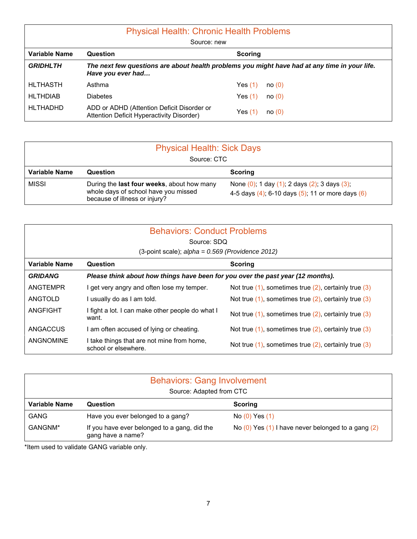| <b>Physical Health: Chronic Health Problems</b><br>Source: new |                                                                                                                    |                    |  |  |  |
|----------------------------------------------------------------|--------------------------------------------------------------------------------------------------------------------|--------------------|--|--|--|
| Variable Name                                                  | Question                                                                                                           | <b>Scoring</b>     |  |  |  |
| <b>GRIDHLTH</b>                                                | The next few questions are about health problems you might have had at any time in your life.<br>Have you ever had |                    |  |  |  |
| <b>HLTHASTH</b>                                                | Asthma                                                                                                             | Yes(1)<br>no(0)    |  |  |  |
| <b>HLTHDIAB</b>                                                | <b>Diabetes</b>                                                                                                    | Yes $(1)$<br>no(0) |  |  |  |
| <b>HLTHADHD</b>                                                | ADD or ADHD (Attention Deficit Disorder or<br>Attention Deficit Hyperactivity Disorder)                            | Yes (1)<br>no(0)   |  |  |  |

| <b>Physical Health: Sick Days</b><br>Source: CTC |                                                                                                                     |                                                                                                  |  |  |  |
|--------------------------------------------------|---------------------------------------------------------------------------------------------------------------------|--------------------------------------------------------------------------------------------------|--|--|--|
| Variable Name                                    | Question                                                                                                            | <b>Scoring</b>                                                                                   |  |  |  |
| <b>MISSI</b>                                     | During the last four weeks, about how many<br>whole days of school have you missed<br>because of illness or injury? | None (0); 1 day (1); 2 days (2); 3 days (3);<br>4-5 days (4); 6-10 days (5); 11 or more days (6) |  |  |  |

|                  | <b>Behaviors: Conduct Problems</b>                                              |                                                              |  |  |  |  |
|------------------|---------------------------------------------------------------------------------|--------------------------------------------------------------|--|--|--|--|
|                  | Source: SDQ                                                                     |                                                              |  |  |  |  |
|                  |                                                                                 |                                                              |  |  |  |  |
| Variable Name    | Question<br><b>Scoring</b>                                                      |                                                              |  |  |  |  |
| <b>GRIDANG</b>   | Please think about how things have been for you over the past year (12 months). |                                                              |  |  |  |  |
| ANGTEMPR         | l get very angry and often lose my temper.                                      | Not true $(1)$ , sometimes true $(2)$ , certainly true $(3)$ |  |  |  |  |
| ANGTOLD          | I usually do as I am told.                                                      | Not true $(1)$ , sometimes true $(2)$ , certainly true $(3)$ |  |  |  |  |
| ANGFIGHT         | I fight a lot. I can make other people do what I<br>want.                       | Not true $(1)$ , sometimes true $(2)$ , certainly true $(3)$ |  |  |  |  |
| ANGACCUS         | I am often accused of lying or cheating.                                        | Not true $(1)$ , sometimes true $(2)$ , certainly true $(3)$ |  |  |  |  |
| <b>ANGNOMINE</b> | I take things that are not mine from home,<br>school or elsewhere.              | Not true $(1)$ , sometimes true $(2)$ , certainly true $(3)$ |  |  |  |  |

| <b>Behaviors: Gang Involvement</b> |                                                                   |                                                          |  |  |  |  |
|------------------------------------|-------------------------------------------------------------------|----------------------------------------------------------|--|--|--|--|
| Source: Adapted from CTC           |                                                                   |                                                          |  |  |  |  |
| <b>Variable Name</b>               | Question                                                          | <b>Scoring</b>                                           |  |  |  |  |
| <b>GANG</b>                        | Have you ever belonged to a gang?                                 | No(0) Yes(1)                                             |  |  |  |  |
| GANGNM*                            | If you have ever belonged to a gang, did the<br>gang have a name? | No $(0)$ Yes $(1)$ I have never belonged to a gang $(2)$ |  |  |  |  |

\*Item used to validate GANG variable only.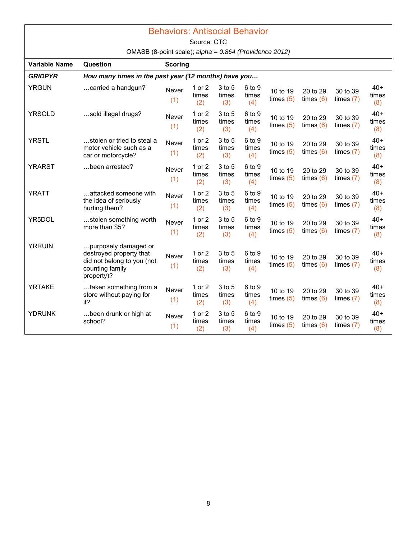#### Behaviors: Antisocial Behavior

Source: CTC

OMASB (8-point scale); *alpha = 0.864 (Providence 2012)*

| <b>Variable Name</b> | Question                                                                                                       | <b>Scoring</b> |                        |                        |                        |                         |                         |                         |                       |
|----------------------|----------------------------------------------------------------------------------------------------------------|----------------|------------------------|------------------------|------------------------|-------------------------|-------------------------|-------------------------|-----------------------|
| <b>GRIDPYR</b>       | How many times in the past year (12 months) have you                                                           |                |                        |                        |                        |                         |                         |                         |                       |
| <b>YRGUN</b>         | carried a handgun?                                                                                             | Never<br>(1)   | 1 or 2<br>times<br>(2) | 3 to 5<br>times<br>(3) | 6 to 9<br>times<br>(4) | 10 to 19<br>times $(5)$ | 20 to 29<br>times $(6)$ | 30 to 39<br>times $(7)$ | $40+$<br>times<br>(8) |
| <b>YRSOLD</b>        | sold illegal drugs?                                                                                            | Never<br>(1)   | 1 or 2<br>times<br>(2) | 3 to 5<br>times<br>(3) | 6 to 9<br>times<br>(4) | 10 to 19<br>times $(5)$ | 20 to 29<br>times $(6)$ | 30 to 39<br>times $(7)$ | $40+$<br>times<br>(8) |
| <b>YRSTL</b>         | …stolen or tried to steal a<br>motor vehicle such as a<br>car or motorcycle?                                   | Never<br>(1)   | 1 or 2<br>times<br>(2) | 3 to 5<br>times<br>(3) | 6 to 9<br>times<br>(4) | 10 to 19<br>times $(5)$ | 20 to 29<br>times $(6)$ | 30 to 39<br>times $(7)$ | $40+$<br>times<br>(8) |
| <b>YRARST</b>        | been arrested?                                                                                                 | Never<br>(1)   | 1 or 2<br>times<br>(2) | 3 to 5<br>times<br>(3) | 6 to 9<br>times<br>(4) | 10 to 19<br>times $(5)$ | 20 to 29<br>times $(6)$ | 30 to 39<br>times $(7)$ | $40+$<br>times<br>(8) |
| <b>YRATT</b>         | attacked someone with<br>the idea of seriously<br>hurting them?                                                | Never<br>(1)   | 1 or 2<br>times<br>(2) | 3 to 5<br>times<br>(3) | 6 to 9<br>times<br>(4) | 10 to 19<br>times $(5)$ | 20 to 29<br>times $(6)$ | 30 to 39<br>times $(7)$ | $40+$<br>times<br>(8) |
| YR5DOL               | stolen something worth<br>more than \$5?                                                                       | Never<br>(1)   | 1 or 2<br>times<br>(2) | 3 to 5<br>times<br>(3) | 6 to 9<br>times<br>(4) | 10 to 19<br>times $(5)$ | 20 to 29<br>times $(6)$ | 30 to 39<br>times $(7)$ | $40+$<br>times<br>(8) |
| <b>YRRUIN</b>        | purposely damaged or<br>destroyed property that<br>did not belong to you (not<br>counting family<br>property)? | Never<br>(1)   | 1 or 2<br>times<br>(2) | 3 to 5<br>times<br>(3) | 6 to 9<br>times<br>(4) | 10 to 19<br>times $(5)$ | 20 to 29<br>times $(6)$ | 30 to 39<br>times $(7)$ | $40+$<br>times<br>(8) |
| <b>YRTAKE</b>        | taken something from a<br>store without paying for<br>it?                                                      | Never<br>(1)   | 1 or 2<br>times<br>(2) | 3 to 5<br>times<br>(3) | 6 to 9<br>times<br>(4) | 10 to 19<br>times $(5)$ | 20 to 29<br>times $(6)$ | 30 to 39<br>times $(7)$ | $40+$<br>times<br>(8) |
| <b>YDRUNK</b>        | been drunk or high at<br>school?                                                                               | Never<br>(1)   | 1 or 2<br>times<br>(2) | 3 to 5<br>times<br>(3) | 6 to 9<br>times<br>(4) | 10 to 19<br>times $(5)$ | 20 to 29<br>times $(6)$ | 30 to 39<br>times $(7)$ | $40+$<br>times<br>(8) |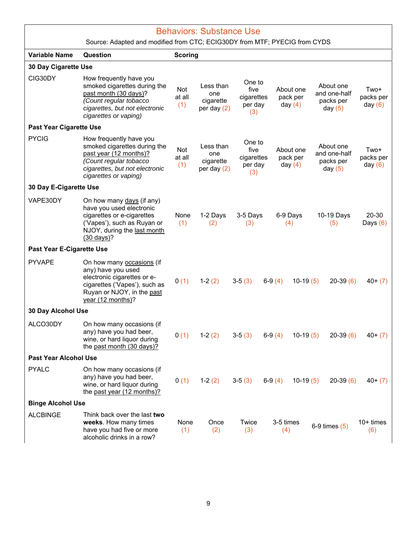|                                 | <b>Behaviors: Substance Use</b><br>Source: Adapted and modified from CTC; ECIG30DY from MTF; PYECIG from CYDS                                                              |                      |                                                |                                                |          |                                    |                                                     |                                |
|---------------------------------|----------------------------------------------------------------------------------------------------------------------------------------------------------------------------|----------------------|------------------------------------------------|------------------------------------------------|----------|------------------------------------|-----------------------------------------------------|--------------------------------|
|                                 |                                                                                                                                                                            |                      |                                                |                                                |          |                                    |                                                     |                                |
| <b>Variable Name</b>            | Question                                                                                                                                                                   | <b>Scoring</b>       |                                                |                                                |          |                                    |                                                     |                                |
| 30 Day Cigarette Use<br>CIG30DY | How frequently have you<br>smoked cigarettes during the<br>past month (30 days)?                                                                                           | Not<br>at all        | Less than<br>one                               | One to<br>five<br>cigarettes                   |          | About one<br>pack per              | About one<br>and one-half                           | Two+<br>packs per              |
|                                 | (Count regular tobacco<br>cigarettes, but not electronic<br>cigarettes or vaping)                                                                                          | (1)                  | cigarette<br>per day $(2)$                     | per day<br>(3)                                 |          | day $(4)$                          | packs per<br>day $(5)$                              | day $(6)$                      |
| <b>Past Year Cigarette Use</b>  |                                                                                                                                                                            |                      |                                                |                                                |          |                                    |                                                     |                                |
| <b>PYCIG</b>                    | How frequently have you<br>smoked cigarettes during the<br>past year (12 months)?<br>(Count regular tobacco<br>cigarettes, but not electronic<br>cigarettes or vaping)     | Not<br>at all<br>(1) | Less than<br>one<br>cigarette<br>per day $(2)$ | One to<br>five<br>cigarettes<br>per day<br>(3) |          | About one<br>pack per<br>day $(4)$ | About one<br>and one-half<br>packs per<br>day $(5)$ | Two+<br>packs per<br>day $(6)$ |
| 30 Day E-Cigarette Use          |                                                                                                                                                                            |                      |                                                |                                                |          |                                    |                                                     |                                |
| VAPE30DY                        | On how many days (if any)<br>have you used electronic<br>cigarettes or e-cigarettes<br>('Vapes'), such as Ruyan or<br>NJOY, during the last month<br>$(30 \text{ days})$ ? | None<br>(1)          | 1-2 Days<br>(2)                                | 3-5 Days<br>(3)                                |          | 6-9 Days<br>(4)                    | 10-19 Days<br>(5)                                   | 20-30<br>Days $(6)$            |
| Past Year E-Cigarette Use       |                                                                                                                                                                            |                      |                                                |                                                |          |                                    |                                                     |                                |
| <b>PYVAPE</b>                   | On how many occasions (if<br>any) have you used<br>electronic cigarettes or e-<br>cigarettes ('Vapes'), such as<br>Ruyan or NJOY, in the past<br>year (12 months)?         | 0(1)                 | $1-2(2)$                                       | $3-5(3)$                                       | $6-9(4)$ | $10-19(5)$                         | $20-39(6)$                                          | $40+ (7)$                      |
| 30 Day Alcohol Use              |                                                                                                                                                                            |                      |                                                |                                                |          |                                    |                                                     |                                |
| ALCO30DY                        | On how many occasions (if<br>any) have you had beer,<br>wine, or hard liquor during<br>the past month (30 days)?                                                           | 0(1)                 | $1-2(2)$                                       | $3-5(3)$                                       | $6-9(4)$ | $10-19(5)$                         | $20-39(6)$                                          | $40+ (7)$                      |
| <b>Past Year Alcohol Use</b>    |                                                                                                                                                                            |                      |                                                |                                                |          |                                    |                                                     |                                |
| <b>PYALC</b>                    | On how many occasions (if<br>any) have you had beer,<br>wine, or hard liquor during<br>the past year (12 months)?                                                          | 0(1)                 | $1-2(2)$                                       | $3-5(3)$                                       | $6-9(4)$ | $10-19(5)$                         | $20-39(6)$                                          | $40+(7)$                       |
| <b>Binge Alcohol Use</b>        |                                                                                                                                                                            |                      |                                                |                                                |          |                                    |                                                     |                                |
| <b>ALCBINGE</b>                 | Think back over the last two<br>weeks. How many times<br>have you had five or more<br>alcoholic drinks in a row?                                                           | None<br>(1)          | Once<br>(2)                                    | Twice<br>(3)                                   |          | 3-5 times<br>(4)                   | $6-9$ times $(5)$                                   | $10+$ times<br>(6)             |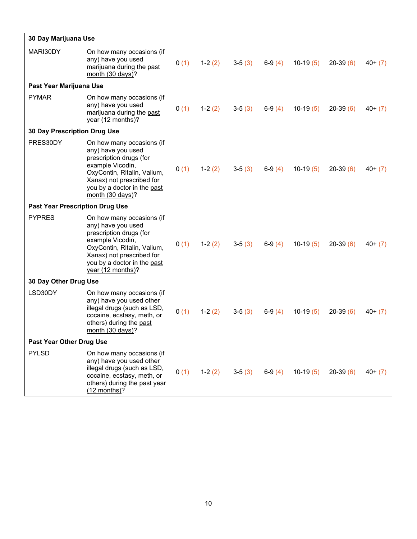|                                        | 30 Day Marijuana Use                                                                                                                                                                                                     |      |          |          |          |            |            |           |
|----------------------------------------|--------------------------------------------------------------------------------------------------------------------------------------------------------------------------------------------------------------------------|------|----------|----------|----------|------------|------------|-----------|
| MARI30DY                               | On how many occasions (if<br>any) have you used<br>marijuana during the past<br>month (30 days)?                                                                                                                         | 0(1) | $1-2(2)$ | $3-5(3)$ | $6-9(4)$ | $10-19(5)$ | $20-39(6)$ | $40+(7)$  |
| Past Year Marijuana Use                |                                                                                                                                                                                                                          |      |          |          |          |            |            |           |
| <b>PYMAR</b>                           | On how many occasions (if<br>any) have you used<br>marijuana during the past<br>year (12 months)?                                                                                                                        | 0(1) | $1-2(2)$ | $3-5(3)$ | $6-9(4)$ | $10-19(5)$ | $20-39(6)$ | $40+(7)$  |
| <b>30 Day Prescription Drug Use</b>    |                                                                                                                                                                                                                          |      |          |          |          |            |            |           |
| PRES30DY                               | On how many occasions (if<br>any) have you used<br>prescription drugs (for<br>example Vicodin,<br>OxyContin, Ritalin, Valium,<br>Xanax) not prescribed for<br>you by a doctor in the past<br>month $(30 \text{ days})$ ? | 0(1) | $1-2(2)$ | $3-5(3)$ | $6-9(4)$ | $10-19(5)$ | $20-39(6)$ | $40+ (7)$ |
| <b>Past Year Prescription Drug Use</b> |                                                                                                                                                                                                                          |      |          |          |          |            |            |           |
| <b>PYPRES</b>                          | On how many occasions (if<br>any) have you used<br>prescription drugs (for<br>example Vicodin,<br>OxyContin, Ritalin, Valium,<br>Xanax) not prescribed for<br>you by a doctor in the past<br>year (12 months)?           | 0(1) | $1-2(2)$ | $3-5(3)$ | $6-9(4)$ | $10-19(5)$ | $20-39(6)$ | $40+ (7)$ |
| 30 Day Other Drug Use                  |                                                                                                                                                                                                                          |      |          |          |          |            |            |           |
| LSD30DY                                | On how many occasions (if<br>any) have you used other<br>illegal drugs (such as LSD,<br>cocaine, ecstasy, meth, or<br>others) during the past<br>month (30 days)?                                                        | 0(1) | $1-2(2)$ | $3-5(3)$ | $6-9(4)$ | $10-19(5)$ | $20-39(6)$ | $40+ (7)$ |
| Past Year Other Drug Use               |                                                                                                                                                                                                                          |      |          |          |          |            |            |           |
| <b>PYLSD</b>                           | On how many occasions (if<br>any) have you used other<br>illegal drugs (such as LSD,<br>cocaine, ecstasy, meth, or<br>others) during the past year<br>$(12$ months)?                                                     | 0(1) | $1-2(2)$ | $3-5(3)$ | $6-9(4)$ | $10-19(5)$ | $20-39(6)$ | $40+ (7)$ |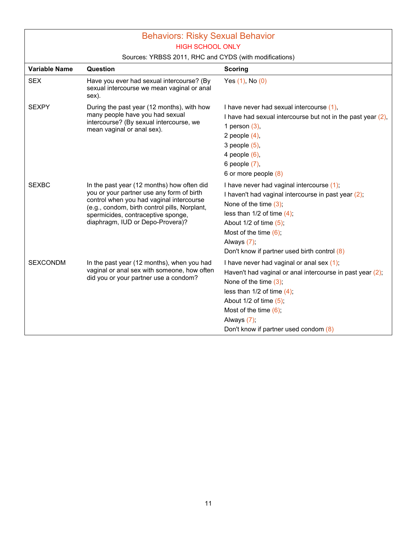# Behaviors: Risky Sexual Behavior HIGH SCHOOL ONLY

|                 | $\sigma$ of $\sigma$ . The contribution of $\sigma$ and $\sigma$ is the product integration of                                                                                                                                                                 |                                                                                                                                                                                                                                                                                                   |
|-----------------|----------------------------------------------------------------------------------------------------------------------------------------------------------------------------------------------------------------------------------------------------------------|---------------------------------------------------------------------------------------------------------------------------------------------------------------------------------------------------------------------------------------------------------------------------------------------------|
| Variable Name   | Question                                                                                                                                                                                                                                                       | <b>Scoring</b>                                                                                                                                                                                                                                                                                    |
| <b>SEX</b>      | Have you ever had sexual intercourse? (By<br>sexual intercourse we mean vaginal or anal<br>sex).                                                                                                                                                               | Yes $(1)$ , No $(0)$                                                                                                                                                                                                                                                                              |
| <b>SEXPY</b>    | During the past year (12 months), with how<br>many people have you had sexual<br>intercourse? (By sexual intercourse, we<br>mean vaginal or anal sex).                                                                                                         | I have never had sexual intercourse (1),<br>I have had sexual intercourse but not in the past year $(2)$ ,<br>1 person $(3)$ ,<br>2 people $(4)$ ,<br>3 people $(5)$ ,<br>4 people $(6)$ ,<br>6 people (7),<br>6 or more people (8)                                                               |
| <b>SEXBC</b>    | In the past year (12 months) how often did<br>you or your partner use any form of birth<br>control when you had vaginal intercourse<br>(e.g., condom, birth control pills, Norplant,<br>spermicides, contraceptive sponge,<br>diaphragm, IUD or Depo-Provera)? | I have never had vaginal intercourse (1);<br>I haven't had vaginal intercourse in past year (2);<br>None of the time $(3)$ ;<br>less than $1/2$ of time $(4)$ ;<br>About $1/2$ of time $(5)$ ;<br>Most of the time $(6)$ .<br>Always $(7)$ ;<br>Don't know if partner used birth control (8)      |
| <b>SEXCONDM</b> | In the past year (12 months), when you had<br>vaginal or anal sex with someone, how often<br>did you or your partner use a condom?                                                                                                                             | I have never had vaginal or anal sex $(1)$ ;<br>Haven't had vaginal or anal intercourse in past year $(2)$ ;<br>None of the time $(3)$ ;<br>less than $1/2$ of time $(4)$ ;<br>About $1/2$ of time $(5)$ ;<br>Most of the time $(6)$ ;<br>Always $(7)$ ;<br>Don't know if partner used condom (8) |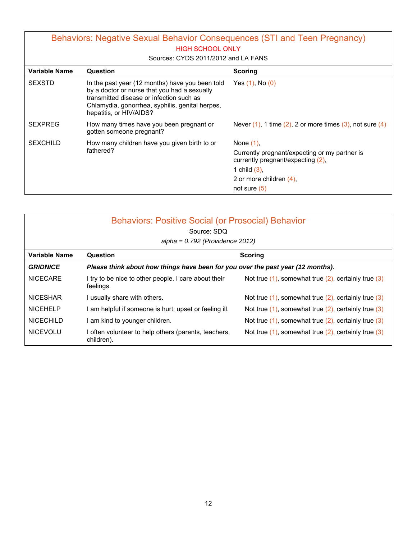### Behaviors: Negative Sexual Behavior Consequences (STI and Teen Pregnancy) HIGH SCHOOL ONLY

#### Sources: CYDS 2011/2012 and LA FANS

| Variable Name   | Question                                                                                                                                                                                                                  | <b>Scoring</b>                                                                     |
|-----------------|---------------------------------------------------------------------------------------------------------------------------------------------------------------------------------------------------------------------------|------------------------------------------------------------------------------------|
| <b>SEXSTD</b>   | In the past year (12 months) have you been told<br>by a doctor or nurse that you had a sexually<br>transmitted disease or infection such as<br>Chlamydia, gonorrhea, syphilis, genital herpes,<br>hepatitis, or HIV/AIDS? | Yes $(1)$ , No $(0)$                                                               |
| <b>SEXPREG</b>  | How many times have you been pregnant or<br>gotten someone pregnant?                                                                                                                                                      | Never $(1)$ , 1 time $(2)$ , 2 or more times $(3)$ , not sure $(4)$                |
| <b>SEXCHILD</b> | How many children have you given birth to or                                                                                                                                                                              | None $(1)$ .                                                                       |
|                 | fathered?                                                                                                                                                                                                                 | Currently pregnant/expecting or my partner is<br>currently pregnant/expecting (2), |
|                 |                                                                                                                                                                                                                           | 1 child $(3)$ .                                                                    |
|                 |                                                                                                                                                                                                                           | 2 or more children $(4)$ .                                                         |
|                 |                                                                                                                                                                                                                           | not sure $(5)$                                                                     |

|                      | <b>Behaviors: Positive Social (or Prosocial) Behavior</b><br>Source: SDQ        |                                                             |  |  |  |  |  |
|----------------------|---------------------------------------------------------------------------------|-------------------------------------------------------------|--|--|--|--|--|
|                      | $alpha = 0.792$ (Providence 2012)                                               |                                                             |  |  |  |  |  |
| <b>Variable Name</b> | <b>Question</b><br><b>Scoring</b>                                               |                                                             |  |  |  |  |  |
| <b>GRIDNICE</b>      | Please think about how things have been for you over the past year (12 months). |                                                             |  |  |  |  |  |
| <b>NICECARE</b>      | I try to be nice to other people. I care about their<br>feelings.               | Not true $(1)$ , somewhat true $(2)$ , certainly true $(3)$ |  |  |  |  |  |
| <b>NICESHAR</b>      | I usually share with others.                                                    | Not true $(1)$ , somewhat true $(2)$ , certainly true $(3)$ |  |  |  |  |  |
| <b>NICEHELP</b>      | am helpful if someone is hurt, upset or feeling ill.                            | Not true $(1)$ , somewhat true $(2)$ , certainly true $(3)$ |  |  |  |  |  |
| <b>NICECHILD</b>     | am kind to younger children.                                                    | Not true $(1)$ , somewhat true $(2)$ , certainly true $(3)$ |  |  |  |  |  |
| <b>NICEVOLU</b>      | I often volunteer to help others (parents, teachers,<br>children).              | Not true $(1)$ , somewhat true $(2)$ , certainly true $(3)$ |  |  |  |  |  |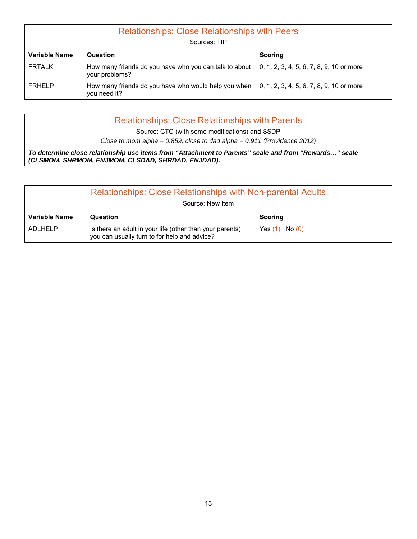| <b>Relationships: Close Relationships with Peers</b><br>Sources: TIP |                                                                                                                   |                |  |  |  |  |  |
|----------------------------------------------------------------------|-------------------------------------------------------------------------------------------------------------------|----------------|--|--|--|--|--|
| <b>Variable Name</b>                                                 | Question                                                                                                          | <b>Scoring</b> |  |  |  |  |  |
| <b>FRTALK</b>                                                        | How many friends do you have who you can talk to about 0, 1, 2, 3, 4, 5, 6, 7, 8, 9, 10 or more<br>your problems? |                |  |  |  |  |  |
| <b>FRHELP</b>                                                        | How many friends do you have who would help you when 0, 1, 2, 3, 4, 5, 6, 7, 8, 9, 10 or more<br>you need it?     |                |  |  |  |  |  |

| Close to mom alpha = $0.859$ ; close to dad alpha = $0.911$ (Providence 2012)                                                                              |  |
|------------------------------------------------------------------------------------------------------------------------------------------------------------|--|
| To determine close relationship use items from "Attachment to Parents" scale and from "Rewards" scale<br>(CLSMOM, SHRMOM, ENJMOM, CLSDAD, SHRDAD, ENJDAD). |  |
|                                                                                                                                                            |  |
| Source: CTC (with some modifications) and SSDP                                                                                                             |  |
| <b>Relationships: Close Relationships with Parents</b>                                                                                                     |  |

| <b>Relationships: Close Relationships with Non-parental Adults</b><br>Source: New item |                                                                                                          |                    |  |  |  |
|----------------------------------------------------------------------------------------|----------------------------------------------------------------------------------------------------------|--------------------|--|--|--|
| Variable Name                                                                          | Question                                                                                                 | <b>Scoring</b>     |  |  |  |
| <b>ADLHELP</b>                                                                         | Is there an adult in your life (other than your parents)<br>you can usually turn to for help and advice? | Yes $(1)$ No $(0)$ |  |  |  |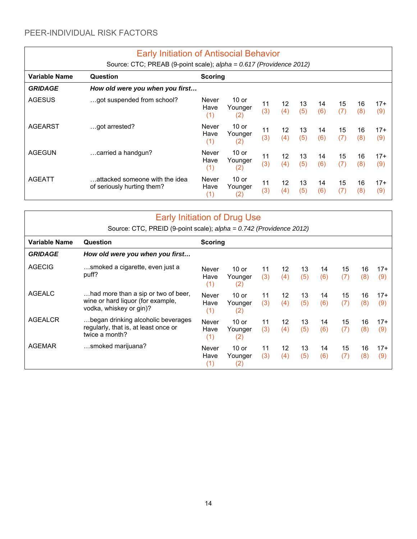|                                                    | <b>Early Initiation of Antisocial Behavior</b>                      |                             |                                         |           |                        |           |           |           |           |              |
|----------------------------------------------------|---------------------------------------------------------------------|-----------------------------|-----------------------------------------|-----------|------------------------|-----------|-----------|-----------|-----------|--------------|
|                                                    | Source: CTC; PREAB (9-point scale); alpha = 0.617 (Providence 2012) |                             |                                         |           |                        |           |           |           |           |              |
| <b>Variable Name</b><br>Question<br><b>Scoring</b> |                                                                     |                             |                                         |           |                        |           |           |           |           |              |
| <b>GRIDAGE</b>                                     | How old were you when you first                                     |                             |                                         |           |                        |           |           |           |           |              |
| <b>AGESUS</b>                                      | got suspended from school?                                          | <b>Never</b><br>Have<br>(1) | $10$ or<br>Younger<br>(2)               | 11<br>(3) | 12<br>(4)              | 13<br>(5) | 14<br>(6) | 15<br>(7) | 16<br>(8) | $17+$<br>(9) |
| <b>AGEARST</b>                                     | got arrested?                                                       | <b>Never</b><br>Have<br>(1) | 10 or<br>Younger<br>(2)                 | 11<br>(3) | 12<br>(4)              | 13<br>(5) | 14<br>(6) | 15<br>(7) | 16<br>(8) | $17+$<br>(9) |
| <b>AGEGUN</b>                                      | carried a handgun?                                                  | <b>Never</b><br>Have<br>(1) | $10$ or<br>Younger<br>$\left( 2\right)$ | 11<br>(3) | 12 <sup>°</sup><br>(4) | 13<br>(5) | 14<br>(6) | 15<br>(7) | 16<br>(8) | $17+$<br>(9) |
| <b>AGEATT</b>                                      | attacked someone with the idea<br>of seriously hurting them?        | <b>Never</b><br>Have<br>(1) | $10$ or<br>Younger<br>(2)               | 11<br>(3) | 12<br>(4)              | 13<br>(5) | 14<br>(6) | 15<br>(7) | 16<br>(8) | $17+$<br>(9) |

| <b>Early Initiation of Drug Use</b><br>Source: CTC, PREID (9-point scale); alpha = 0.742 (Providence 2012) |                                                                                                     |                             |                           |           |                        |           |           |           |           |              |
|------------------------------------------------------------------------------------------------------------|-----------------------------------------------------------------------------------------------------|-----------------------------|---------------------------|-----------|------------------------|-----------|-----------|-----------|-----------|--------------|
| <b>Variable Name</b>                                                                                       | Question<br><b>Scoring</b>                                                                          |                             |                           |           |                        |           |           |           |           |              |
| <b>GRIDAGE</b>                                                                                             | How old were you when you first                                                                     |                             |                           |           |                        |           |           |           |           |              |
| <b>AGECIG</b>                                                                                              | smoked a cigarette, even just a<br>puff?                                                            | <b>Never</b><br>Have<br>(1) | $10$ or<br>Younger<br>(2) | 11<br>(3) | 12<br>(4)              | 13<br>(5) | 14<br>(6) | 15<br>(7) | 16<br>(8) | $17+$<br>(9) |
| <b>AGEALC</b>                                                                                              | had more than a sip or two of beer,<br>wine or hard liquor (for example,<br>vodka, whiskey or gin)? | Never<br>Have<br>(1)        | $10$ or<br>Younger<br>(2) | 11<br>(3) | 12 <sup>2</sup><br>(4) | 13<br>(5) | 14<br>(6) | 15<br>(7) | 16<br>(8) | $17+$<br>(9) |
| <b>AGEALCR</b>                                                                                             | began drinking alcoholic beverages<br>regularly, that is, at least once or<br>twice a month?        | Never<br>Have<br>(1)        | $10$ or<br>Younger<br>(2) | 11<br>(3) | 12 <sup>2</sup><br>(4) | 13<br>(5) | 14<br>(6) | 15<br>(7) | 16<br>(8) | $17+$<br>(9) |
| <b>AGEMAR</b>                                                                                              | smoked marijuana?                                                                                   | <b>Never</b><br>Have<br>(1) | $10$ or<br>Younger<br>(2) | 11<br>(3) | 12<br>(4)              | 13<br>(5) | 14<br>(6) | 15<br>(7) | 16<br>(8) | $17+$<br>(9) |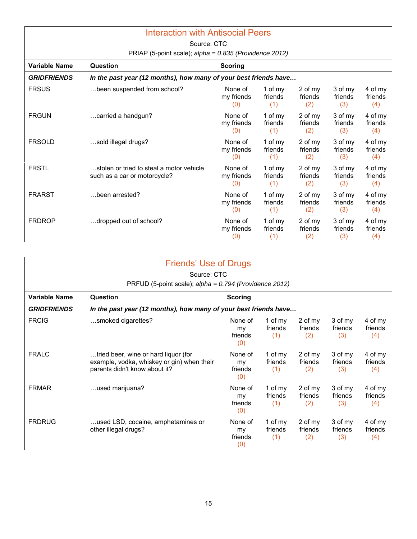| <b>Interaction with Antisocial Peers</b> |                                                                          |                              |                           |                           |                           |                           |  |  |  |
|------------------------------------------|--------------------------------------------------------------------------|------------------------------|---------------------------|---------------------------|---------------------------|---------------------------|--|--|--|
|                                          | Source: CTC                                                              |                              |                           |                           |                           |                           |  |  |  |
|                                          | PRIAP (5-point scale); alpha = 0.835 (Providence 2012)                   |                              |                           |                           |                           |                           |  |  |  |
| <b>Variable Name</b>                     | <b>Question</b>                                                          | <b>Scoring</b>               |                           |                           |                           |                           |  |  |  |
| <b>GRIDFRIENDS</b>                       | In the past year (12 months), how many of your best friends have         |                              |                           |                           |                           |                           |  |  |  |
| <b>FRSUS</b>                             | been suspended from school?                                              | None of<br>my friends<br>(0) | 1 of my<br>friends<br>(1) | 2 of my<br>friends<br>(2) | 3 of my<br>friends<br>(3) | 4 of my<br>friends<br>(4) |  |  |  |
| <b>FRGUN</b>                             | carried a handgun?                                                       | None of<br>my friends<br>(0) | 1 of my<br>friends<br>(1) | 2 of my<br>friends<br>(2) | 3 of my<br>friends<br>(3) | 4 of my<br>friends<br>(4) |  |  |  |
| <b>FRSOLD</b>                            | sold illegal drugs?                                                      | None of<br>my friends<br>(0) | 1 of my<br>friends<br>(1) | 2 of my<br>friends<br>(2) | 3 of my<br>friends<br>(3) | 4 of my<br>friends<br>(4) |  |  |  |
| <b>FRSTL</b>                             | stolen or tried to steal a motor vehicle<br>such as a car or motorcycle? | None of<br>my friends<br>(0) | 1 of my<br>friends<br>(1) | 2 of my<br>friends<br>(2) | 3 of my<br>friends<br>(3) | 4 of my<br>friends<br>(4) |  |  |  |
| <b>FRARST</b>                            | been arrested?                                                           | None of<br>my friends<br>(0) | 1 of my<br>friends<br>(1) | 2 of my<br>friends<br>(2) | 3 of my<br>friends<br>(3) | 4 of my<br>friends<br>(4) |  |  |  |
| <b>FRDROP</b>                            | dropped out of school?                                                   | None of<br>my friends<br>(0) | 1 of my<br>friends<br>(1) | 2 of my<br>friends<br>(2) | 3 of my<br>friends<br>(3) | 4 of my<br>friends<br>(4) |  |  |  |

|                      | Friends' Use of Drugs<br>Source: CTC                                                                                |                                 |                           |                           |                           |                           |  |  |
|----------------------|---------------------------------------------------------------------------------------------------------------------|---------------------------------|---------------------------|---------------------------|---------------------------|---------------------------|--|--|
|                      |                                                                                                                     |                                 |                           |                           |                           |                           |  |  |
|                      | PRFUD (5-point scale); alpha = 0.794 (Providence 2012)                                                              |                                 |                           |                           |                           |                           |  |  |
| <b>Variable Name</b> | Question                                                                                                            | <b>Scoring</b>                  |                           |                           |                           |                           |  |  |
| <b>GRIDFRIENDS</b>   | In the past year (12 months), how many of your best friends have                                                    |                                 |                           |                           |                           |                           |  |  |
| <b>FRCIG</b>         | smoked cigarettes?                                                                                                  | None of<br>my<br>friends<br>(0) | 1 of my<br>friends<br>(1) | 2 of my<br>friends<br>(2) | 3 of my<br>friends<br>(3) | 4 of my<br>friends<br>(4) |  |  |
| <b>FRALC</b>         | tried beer, wine or hard liquor (for<br>example, vodka, whiskey or gin) when their<br>parents didn't know about it? | None of<br>my<br>friends<br>(0) | 1 of my<br>friends<br>(1) | 2 of my<br>friends<br>(2) | 3 of my<br>friends<br>(3) | 4 of my<br>friends<br>(4) |  |  |
| <b>FRMAR</b>         | used marijuana?                                                                                                     | None of<br>my<br>friends<br>(0) | 1 of my<br>friends<br>(1) | 2 of my<br>friends<br>(2) | 3 of my<br>friends<br>(3) | 4 of my<br>friends<br>(4) |  |  |
| <b>FRDRUG</b>        | used LSD, cocaine, amphetamines or<br>other illegal drugs?                                                          | None of<br>my<br>friends<br>(0) | 1 of my<br>friends<br>(1) | 2 of my<br>friends<br>(2) | 3 of my<br>friends<br>(3) | 4 of my<br>friends<br>(4) |  |  |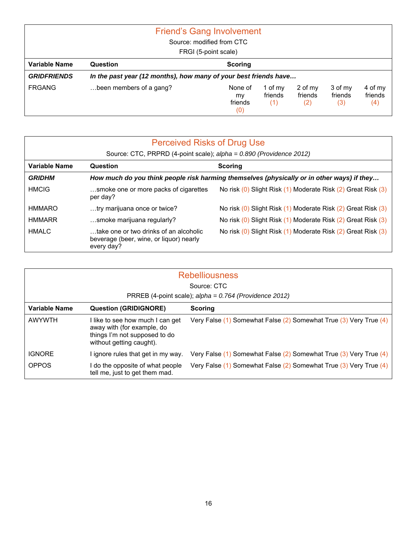| <b>Friend's Gang Involvement</b> |                                                                  |                                 |                             |                           |                           |                           |  |  |  |
|----------------------------------|------------------------------------------------------------------|---------------------------------|-----------------------------|---------------------------|---------------------------|---------------------------|--|--|--|
|                                  | Source: modified from CTC                                        |                                 |                             |                           |                           |                           |  |  |  |
|                                  |                                                                  | FRGI (5-point scale)            |                             |                           |                           |                           |  |  |  |
| Variable Name                    | <b>Question</b>                                                  | <b>Scoring</b>                  |                             |                           |                           |                           |  |  |  |
| <b>GRIDFRIENDS</b>               | In the past year (12 months), how many of your best friends have |                                 |                             |                           |                           |                           |  |  |  |
| <b>FRGANG</b>                    | been members of a gang?                                          | None of<br>my<br>friends<br>(0) | 1 of $my$<br>friends<br>(1) | 2 of my<br>friends<br>(2) | 3 of my<br>friends<br>(3) | 4 of my<br>friends<br>(4) |  |  |  |

| <b>Perceived Risks of Drug Use</b><br>Source: CTC, PRPRD (4-point scale); alpha = 0.890 (Providence 2012) |                                                                                                 |                                                                                            |  |  |  |  |
|-----------------------------------------------------------------------------------------------------------|-------------------------------------------------------------------------------------------------|--------------------------------------------------------------------------------------------|--|--|--|--|
| Variable Name                                                                                             | Question                                                                                        | <b>Scoring</b>                                                                             |  |  |  |  |
| <b>GRIDHM</b>                                                                                             |                                                                                                 | How much do you think people risk harming themselves (physically or in other ways) if they |  |  |  |  |
| <b>HMCIG</b>                                                                                              | smoke one or more packs of cigarettes<br>per day?                                               | No risk (0) Slight Risk (1) Moderate Risk (2) Great Risk (3)                               |  |  |  |  |
| HMMARO                                                                                                    | try marijuana once or twice?                                                                    | No risk (0) Slight Risk (1) Moderate Risk (2) Great Risk (3)                               |  |  |  |  |
| <b>HMMARR</b>                                                                                             | smoke marijuana regularly?                                                                      | No risk (0) Slight Risk (1) Moderate Risk (2) Great Risk (3)                               |  |  |  |  |
| <b>HMALC</b>                                                                                              | take one or two drinks of an alcoholic<br>beverage (beer, wine, or liquor) nearly<br>every day? | No risk (0) Slight Risk (1) Moderate Risk (2) Great Risk (3)                               |  |  |  |  |

| <b>Rebelliousness</b><br>Source: CTC |                                                                                                                             |                                                                   |  |  |  |  |  |
|--------------------------------------|-----------------------------------------------------------------------------------------------------------------------------|-------------------------------------------------------------------|--|--|--|--|--|
|                                      | PRREB (4-point scale); alpha = 0.764 (Providence 2012)                                                                      |                                                                   |  |  |  |  |  |
| <b>Variable Name</b>                 | <b>Question (GRIDIGNORE)</b>                                                                                                | <b>Scoring</b>                                                    |  |  |  |  |  |
| <b>AWYWTH</b>                        | I like to see how much I can get<br>away with (for example, do<br>things I'm not supposed to do<br>without getting caught). | Very False (1) Somewhat False (2) Somewhat True (3) Very True (4) |  |  |  |  |  |
| <b>IGNORE</b>                        | I ignore rules that get in my way.                                                                                          | Very False (1) Somewhat False (2) Somewhat True (3) Very True (4) |  |  |  |  |  |
| <b>OPPOS</b>                         | I do the opposite of what people<br>tell me, just to get them mad.                                                          | Very False (1) Somewhat False (2) Somewhat True (3) Very True (4) |  |  |  |  |  |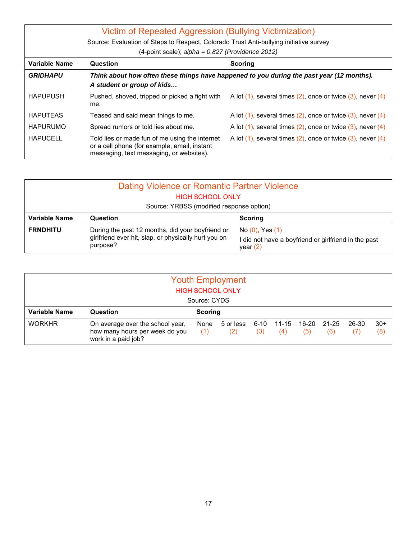| Victim of Repeated Aggression (Bullying Victimization)<br>Source: Evaluation of Steps to Respect, Colorado Trust Anti-bullying initiative survey<br>(4-point scale); $alpha = 0.827$ (Providence 2012) |                                                                                                                                            |                                                                       |  |  |  |  |
|--------------------------------------------------------------------------------------------------------------------------------------------------------------------------------------------------------|--------------------------------------------------------------------------------------------------------------------------------------------|-----------------------------------------------------------------------|--|--|--|--|
| Variable Name                                                                                                                                                                                          | Question<br><b>Scoring</b>                                                                                                                 |                                                                       |  |  |  |  |
| <b>GRIDHAPU</b>                                                                                                                                                                                        | Think about how often these things have happened to you during the past year (12 months).<br>A student or group of kids                    |                                                                       |  |  |  |  |
| <b>HAPUPUSH</b>                                                                                                                                                                                        | Pushed, shoved, tripped or picked a fight with<br>me.                                                                                      | A lot $(1)$ , several times $(2)$ , once or twice $(3)$ , never $(4)$ |  |  |  |  |
| <b>HAPUTEAS</b>                                                                                                                                                                                        | Teased and said mean things to me.                                                                                                         | A lot $(1)$ , several times $(2)$ , once or twice $(3)$ , never $(4)$ |  |  |  |  |
| <b>HAPURUMO</b>                                                                                                                                                                                        | Spread rumors or told lies about me.                                                                                                       | A lot $(1)$ , several times $(2)$ , once or twice $(3)$ , never $(4)$ |  |  |  |  |
| <b>HAPUCELL</b>                                                                                                                                                                                        | Told lies or made fun of me using the internet<br>or a cell phone (for example, email, instant<br>messaging, text messaging, or websites). | A lot $(1)$ , several times $(2)$ , once or twice $(3)$ , never $(4)$ |  |  |  |  |

| Dating Violence or Romantic Partner Violence |                                                                  |                                                                  |  |  |  |  |  |
|----------------------------------------------|------------------------------------------------------------------|------------------------------------------------------------------|--|--|--|--|--|
| <b>HIGH SCHOOL ONLY</b>                      |                                                                  |                                                                  |  |  |  |  |  |
|                                              | Source: YRBSS (modified response option)                         |                                                                  |  |  |  |  |  |
| <b>Variable Name</b>                         | Question                                                         | <b>Scoring</b>                                                   |  |  |  |  |  |
| <b>FRNDHITU</b>                              | During the past 12 months, did your boyfriend or                 | No $(0)$ , Yes $(1)$                                             |  |  |  |  |  |
|                                              | girlfriend ever hit, slap, or physically hurt you on<br>purpose? | did not have a boyfriend or girlfriend in the past<br>year $(2)$ |  |  |  |  |  |

| <b>Youth Employment</b><br><b>HIGH SCHOOL ONLY</b><br>Source: CYDS |                                                                                           |             |                  |             |              |              |              |              |              |
|--------------------------------------------------------------------|-------------------------------------------------------------------------------------------|-------------|------------------|-------------|--------------|--------------|--------------|--------------|--------------|
| <b>Variable Name</b>                                               | Question                                                                                  | Scoring     |                  |             |              |              |              |              |              |
| <b>WORKHR</b>                                                      | On average over the school year,<br>how many hours per week do you<br>work in a paid job? | None<br>(1) | 5 or less<br>(2) | 6-10<br>(3) | 11-15<br>(4) | 16-20<br>(5) | 21-25<br>(6) | 26-30<br>(7) | $30+$<br>(8) |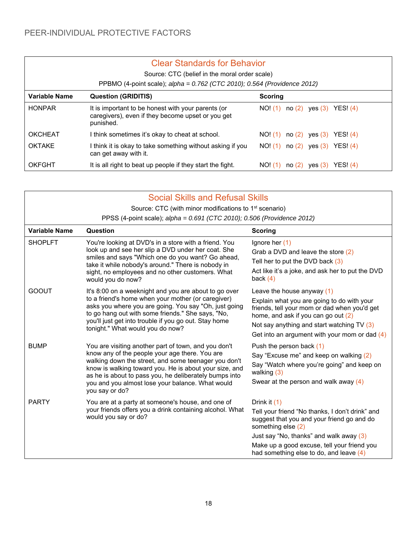|                                                               | <b>Clear Standards for Behavior</b>                                                                                  |                                          |  |  |  |  |  |
|---------------------------------------------------------------|----------------------------------------------------------------------------------------------------------------------|------------------------------------------|--|--|--|--|--|
|                                                               | Source: CTC (belief in the moral order scale)                                                                        |                                          |  |  |  |  |  |
|                                                               | PPBMO (4-point scale); alpha = 0.762 (CTC 2010); 0.564 (Providence 2012)                                             |                                          |  |  |  |  |  |
| Variable Name<br><b>Question (GRIDITIS)</b><br><b>Scoring</b> |                                                                                                                      |                                          |  |  |  |  |  |
| <b>HONPAR</b>                                                 | It is important to be honest with your parents (or<br>caregivers), even if they become upset or you get<br>punished. | no $(2)$ yes $(3)$ YES! $(4)$<br>NO! (1) |  |  |  |  |  |
| <b>OKCHEAT</b>                                                | I think sometimes it's okay to cheat at school.                                                                      | no $(2)$ yes $(3)$ YES! $(4)$<br>NO! (1) |  |  |  |  |  |
| <b>OKTAKE</b>                                                 | I think it is okay to take something without asking if you<br>can get away with it.                                  | no $(2)$ yes $(3)$ YES! $(4)$<br>NO! (1) |  |  |  |  |  |
| OKFGHT                                                        | It is all right to beat up people if they start the fight.                                                           | NO! (1)<br>YES: (4)<br>ves (3)<br>no(2)  |  |  |  |  |  |

|                | <b>Social Skills and Refusal Skills</b>                                                                                                                                                                                                                                                                                                                  |                                                                                                                                                                                                                                                                            |  |  |  |  |  |  |
|----------------|----------------------------------------------------------------------------------------------------------------------------------------------------------------------------------------------------------------------------------------------------------------------------------------------------------------------------------------------------------|----------------------------------------------------------------------------------------------------------------------------------------------------------------------------------------------------------------------------------------------------------------------------|--|--|--|--|--|--|
|                | Source: CTC (with minor modifications to 1 <sup>st</sup> scenario)                                                                                                                                                                                                                                                                                       |                                                                                                                                                                                                                                                                            |  |  |  |  |  |  |
|                | PPSS (4-point scale); alpha = 0.691 (CTC 2010); 0.506 (Providence 2012)                                                                                                                                                                                                                                                                                  |                                                                                                                                                                                                                                                                            |  |  |  |  |  |  |
| Variable Name  | Question                                                                                                                                                                                                                                                                                                                                                 | <b>Scoring</b>                                                                                                                                                                                                                                                             |  |  |  |  |  |  |
| <b>SHOPLFT</b> | You're looking at DVD's in a store with a friend. You<br>look up and see her slip a DVD under her coat. She<br>smiles and says "Which one do you want? Go ahead,<br>take it while nobody's around." There is nobody in<br>sight, no employees and no other customers. What<br>would you do now?                                                          | Ignore her $(1)$<br>Grab a DVD and leave the store (2)<br>Tell her to put the DVD back $(3)$<br>Act like it's a joke, and ask her to put the DVD<br>back $(4)$                                                                                                             |  |  |  |  |  |  |
| <b>GOOUT</b>   | It's 8:00 on a weeknight and you are about to go over<br>to a friend's home when your mother (or caregiver)<br>asks you where you are going. You say "Oh, just going<br>to go hang out with some friends." She says, "No,<br>you'll just get into trouble if you go out. Stay home<br>tonight." What would you do now?                                   | Leave the house anyway (1)<br>Explain what you are going to do with your<br>friends, tell your mom or dad when you'd get<br>home, and ask if you can go out (2)<br>Not say anything and start watching $TV(3)$<br>Get into an argument with your mom or dad $(4)$          |  |  |  |  |  |  |
| <b>BUMP</b>    | You are visiting another part of town, and you don't<br>know any of the people your age there. You are<br>walking down the street, and some teenager you don't<br>know is walking toward you. He is about your size, and<br>as he is about to pass you, he deliberately bumps into<br>you and you almost lose your balance. What would<br>you say or do? | Push the person back (1)<br>Say "Excuse me" and keep on walking (2)<br>Say "Watch where you're going" and keep on<br>walking $(3)$<br>Swear at the person and walk away (4)                                                                                                |  |  |  |  |  |  |
| <b>PARTY</b>   | You are at a party at someone's house, and one of<br>your friends offers you a drink containing alcohol. What<br>would you say or do?                                                                                                                                                                                                                    | Drink it $(1)$<br>Tell your friend "No thanks, I don't drink" and<br>suggest that you and your friend go and do<br>something else (2)<br>Just say "No, thanks" and walk away (3)<br>Make up a good excuse, tell your friend you<br>had something else to do, and leave (4) |  |  |  |  |  |  |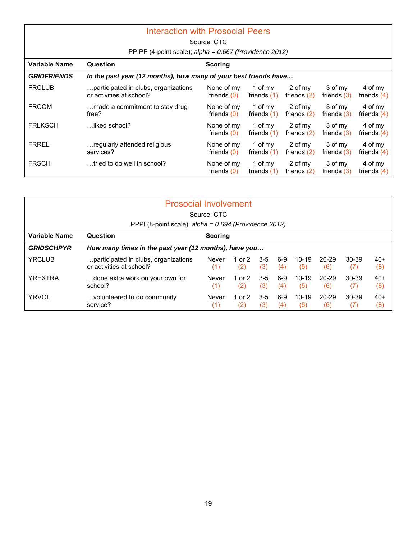| <b>Interaction with Prosocial Peers</b> |                                                                  |                             |                          |                          |                          |                          |  |  |  |
|-----------------------------------------|------------------------------------------------------------------|-----------------------------|--------------------------|--------------------------|--------------------------|--------------------------|--|--|--|
|                                         | Source: CTC                                                      |                             |                          |                          |                          |                          |  |  |  |
|                                         | PPIPP (4-point scale); alpha = 0.667 (Providence 2012)           |                             |                          |                          |                          |                          |  |  |  |
| <b>Variable Name</b>                    | Question<br><b>Scoring</b>                                       |                             |                          |                          |                          |                          |  |  |  |
| <b>GRIDFRIENDS</b>                      | In the past year (12 months), how many of your best friends have |                             |                          |                          |                          |                          |  |  |  |
| <b>FRCLUB</b>                           | participated in clubs, organizations<br>or activities at school? | None of my<br>friends $(0)$ | 1 of my<br>friends $(1)$ | 2 of my<br>friends $(2)$ | 3 of my<br>friends $(3)$ | 4 of my<br>friends $(4)$ |  |  |  |
| <b>FRCOM</b>                            | made a commitment to stay drug-<br>free?                         | None of my<br>friends $(0)$ | 1 of my<br>friends $(1)$ | 2 of my<br>friends $(2)$ | 3 of my<br>friends $(3)$ | 4 of my<br>friends $(4)$ |  |  |  |
| <b>FRLKSCH</b>                          | liked school?                                                    | None of my<br>friends $(0)$ | 1 of my<br>friends $(1)$ | 2 of my<br>friends $(2)$ | 3 of my<br>friends $(3)$ | 4 of my<br>friends $(4)$ |  |  |  |
| <b>FRREL</b>                            | regularly attended religious<br>services?                        | None of my<br>friends $(0)$ | 1 of my<br>friends $(1)$ | 2 of my<br>friends $(2)$ | 3 of my<br>friends $(3)$ | 4 of my<br>friends $(4)$ |  |  |  |
| <b>FRSCH</b>                            | tried to do well in school?                                      | None of my<br>friends $(0)$ | 1 of my<br>friends $(1)$ | 2 of my<br>friends $(2)$ | 3 of my<br>friends $(3)$ | 4 of my<br>friends $(4)$ |  |  |  |

| <b>Prosocial Involvement</b> |                                                                  |                                                       |                 |              |            |                |              |              |              |
|------------------------------|------------------------------------------------------------------|-------------------------------------------------------|-----------------|--------------|------------|----------------|--------------|--------------|--------------|
|                              |                                                                  | Source: CTC                                           |                 |              |            |                |              |              |              |
|                              | PPPI (8-point scale); $alpha = 0.694$ (Providence 2012)          |                                                       |                 |              |            |                |              |              |              |
| Variable Name                | Question<br><b>Scoring</b>                                       |                                                       |                 |              |            |                |              |              |              |
| <b>GRIDSCHPYR</b>            |                                                                  | How many times in the past year (12 months), have you |                 |              |            |                |              |              |              |
| <b>YRCLUB</b>                | participated in clubs, organizations<br>or activities at school? | Never<br>(1)                                          | 1 or 2<br>(2)   | $3-5$<br>(3) | 6-9<br>(4) | $10-19$<br>(5) | 20-29<br>(6) | 30-39<br>(7) | 40+<br>(8)   |
| <b>YREXTRA</b>               | done extra work on your own for<br>school?                       | Never<br>(1)                                          | 1 or $2$<br>(2) | $3-5$<br>(3) | ճ-9<br>(4) | $10-19$<br>(5) | 20-29<br>(6) | 30-39<br>(7) | $40+$<br>(8) |
| <b>YRVOL</b>                 | volunteered to do community<br>service?                          | Never<br>(1)                                          | 1 or 2<br>(2)   | $3-5$<br>(3) | 6-9<br>(4) | $10-19$<br>(5) | 20-29<br>(6) | 30-39        | $40+$<br>(8) |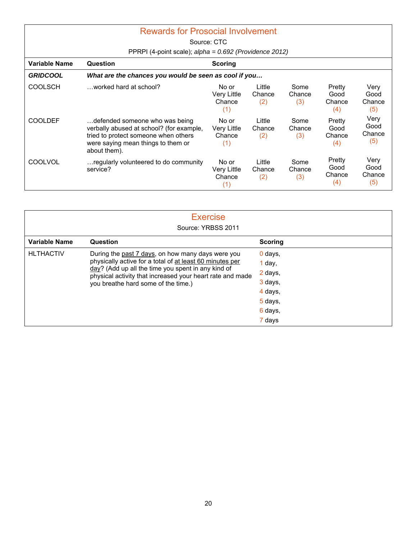|                 | <b>Rewards for Prosocial Involvement</b>                                                                                                                                 |                                       |                         |                       |                                 |                               |  |  |
|-----------------|--------------------------------------------------------------------------------------------------------------------------------------------------------------------------|---------------------------------------|-------------------------|-----------------------|---------------------------------|-------------------------------|--|--|
|                 |                                                                                                                                                                          | Source: CTC                           |                         |                       |                                 |                               |  |  |
|                 | PPRPI (4-point scale); $alpha = 0.692$ (Providence 2012)                                                                                                                 |                                       |                         |                       |                                 |                               |  |  |
| Variable Name   | Question                                                                                                                                                                 | Scoring                               |                         |                       |                                 |                               |  |  |
| <b>GRIDCOOL</b> | What are the chances you would be seen as cool if you                                                                                                                    |                                       |                         |                       |                                 |                               |  |  |
| <b>COOLSCH</b>  | worked hard at school?                                                                                                                                                   | No or<br>Very Little<br>Chance<br>(1) | Little<br>Chance<br>(2) | Some<br>Chance<br>(3) | Pretty<br>Good<br>Chance<br>(4) | Verv<br>Good<br>Chance<br>(5) |  |  |
| <b>COOLDEF</b>  | defended someone who was being<br>verbally abused at school? (for example,<br>tried to protect someone when others<br>were saying mean things to them or<br>about them). | No or<br>Very Little<br>Chance<br>(1) | Little<br>Chance<br>(2) | Some<br>Chance<br>(3) | Pretty<br>Good<br>Chance<br>(4) | Very<br>Good<br>Chance<br>(5) |  |  |
| <b>COOLVOL</b>  | regularly volunteered to do community<br>service?                                                                                                                        | No or<br>Very Little<br>Chance<br>(1) | Little<br>Chance<br>(2) | Some<br>Chance<br>(3) | Pretty<br>Good<br>Chance<br>(4) | Very<br>Good<br>Chance<br>(5) |  |  |

| <b>Exercise</b><br>Source: YRBSS 2011 |                                                                                                                 |                |  |  |  |
|---------------------------------------|-----------------------------------------------------------------------------------------------------------------|----------------|--|--|--|
| <b>Variable Name</b>                  | Question                                                                                                        | <b>Scoring</b> |  |  |  |
| <b>HLTHACTIV</b>                      | During the past 7 days, on how many days were you                                                               | 0 days,        |  |  |  |
|                                       | physically active for a total of at least 60 minutes per                                                        | $1$ day,       |  |  |  |
|                                       | day? (Add up all the time you spent in any kind of<br>physical activity that increased your heart rate and made | 2 days,        |  |  |  |
|                                       | you breathe hard some of the time.)                                                                             | 3 days,        |  |  |  |
|                                       |                                                                                                                 | 4 days,        |  |  |  |
|                                       |                                                                                                                 | 5 days,        |  |  |  |
|                                       |                                                                                                                 | 6 days,        |  |  |  |
|                                       |                                                                                                                 | 7 days         |  |  |  |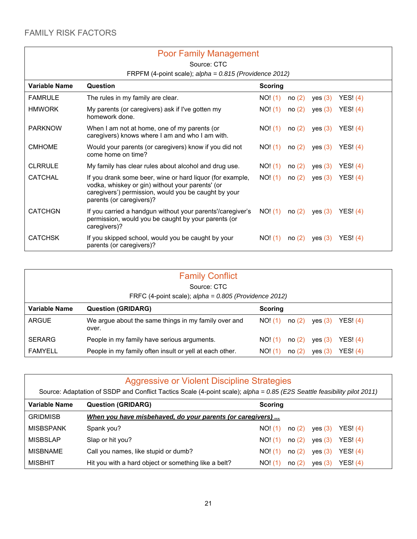|                | <b>Poor Family Management</b>                                                                                                                                                                     |                  |           |            |  |  |  |  |
|----------------|---------------------------------------------------------------------------------------------------------------------------------------------------------------------------------------------------|------------------|-----------|------------|--|--|--|--|
|                | Source: CTC                                                                                                                                                                                       |                  |           |            |  |  |  |  |
|                | FRPFM (4-point scale); $alpha = 0.815$ (Providence 2012)                                                                                                                                          |                  |           |            |  |  |  |  |
| Variable Name  | Question                                                                                                                                                                                          | <b>Scoring</b>   |           |            |  |  |  |  |
| <b>FAMRULE</b> | The rules in my family are clear.                                                                                                                                                                 | NO! (1)<br>no(2) | yes (3)   | YES! $(4)$ |  |  |  |  |
| <b>HMWORK</b>  | My parents (or caregivers) ask if I've gotten my<br>homework done.                                                                                                                                | NO! (1)<br>no(2) | yes (3)   | YES! $(4)$ |  |  |  |  |
| <b>PARKNOW</b> | When I am not at home, one of my parents (or<br>caregivers) knows where I am and who I am with.                                                                                                   | NO! (1)<br>no(2) | yes $(3)$ | YES! $(4)$ |  |  |  |  |
| <b>CMHOME</b>  | Would your parents (or caregivers) know if you did not<br>come home on time?                                                                                                                      | NO! (1)<br>no(2) | yes $(3)$ | YES! $(4)$ |  |  |  |  |
| <b>CLRRULE</b> | My family has clear rules about alcohol and drug use.                                                                                                                                             | NO! (1)<br>no(2) | yes (3)   | YES! $(4)$ |  |  |  |  |
| <b>CATCHAL</b> | If you drank some beer, wine or hard liquor (for example,<br>vodka, whiskey or gin) without your parents' (or<br>caregivers') permission, would you be caught by your<br>parents (or caregivers)? | NO! (1)<br>no(2) | yes $(3)$ | YES! $(4)$ |  |  |  |  |
| <b>CATCHGN</b> | If you carried a handgun without your parents'/caregiver's<br>permission, would you be caught by your parents (or<br>caregivers)?                                                                 | NO! (1)<br>no(2) | yes $(3)$ | YES! $(4)$ |  |  |  |  |
| <b>CATCHSK</b> | If you skipped school, would you be caught by your<br>parents (or caregivers)?                                                                                                                    | NO! (1)<br>no(2) | yes (3)   | YESI (4)   |  |  |  |  |

| <b>Family Conflict</b> |                                                               |                                         |  |  |  |  |  |
|------------------------|---------------------------------------------------------------|-----------------------------------------|--|--|--|--|--|
|                        | Source: CTC                                                   |                                         |  |  |  |  |  |
|                        | FRFC (4-point scale); $alpha = 0.805$ (Providence 2012)       |                                         |  |  |  |  |  |
| <b>Variable Name</b>   | <b>Question (GRIDARG)</b>                                     | Scoring                                 |  |  |  |  |  |
| <b>ARGUE</b>           | We argue about the same things in my family over and<br>over. | no(2)<br>YES! (4)<br>NO! (1)<br>yes (3) |  |  |  |  |  |
| <b>SERARG</b>          | People in my family have serious arguments.                   | no(2)<br>YES! (4)<br>NO! (1)<br>yes (3) |  |  |  |  |  |
| <b>FAMYELL</b>         | People in my family often insult or yell at each other.       | YES! (4)<br>no(2)<br>NO! (1)<br>yes (3) |  |  |  |  |  |

| Aggressive or Violent Discipline Strategies<br>Source: Adaptation of SSDP and Conflict Tactics Scale (4-point scale); alpha = 0.85 (E2S Seattle feasibility pilot 2011) |                                                           |                                          |  |  |  |  |
|-------------------------------------------------------------------------------------------------------------------------------------------------------------------------|-----------------------------------------------------------|------------------------------------------|--|--|--|--|
| Variable Name<br><b>Question (GRIDARG)</b><br><b>Scoring</b>                                                                                                            |                                                           |                                          |  |  |  |  |
| <b>GRIDMISB</b>                                                                                                                                                         | When you have misbehaved, do your parents (or caregivers) |                                          |  |  |  |  |
| <b>MISBSPANK</b>                                                                                                                                                        | Spank you?                                                | NO! (1)<br>no (2)<br>yes (3)<br>YES! (4) |  |  |  |  |
| <b>MISBSLAP</b>                                                                                                                                                         | Slap or hit you?                                          | YESI(4)<br>NO! (1)<br>no(2)<br>yes (3)   |  |  |  |  |
| <b>MISBNAME</b>                                                                                                                                                         | Call you names, like stupid or dumb?                      | no(2)<br>yes $(3)$<br>YESI(4)<br>NO! (1) |  |  |  |  |
| <b>MISBHIT</b>                                                                                                                                                          | Hit you with a hard object or something like a belt?      | YES! (4)<br>NO! (1)<br>no(2)<br>yes (3)  |  |  |  |  |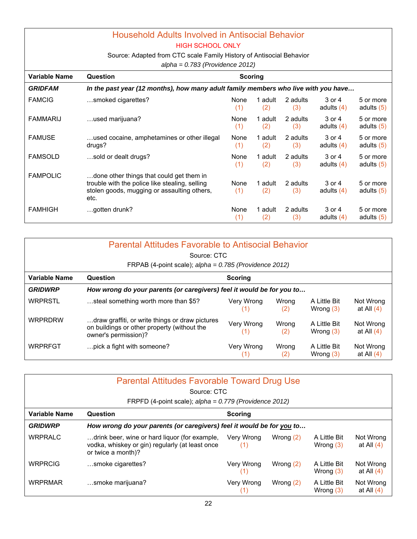#### Household Adults Involved in Antisocial Behavior HIGH SCHOOL ONLY

Source: Adapted from CTC scale Family History of Antisocial Behavior

*alpha = 0.783 (Providence 2012)* 

|                      | <br>$0.100$ $(1.101001000)$ $-0.101$                                                                                                              |             |                |                 |                        |                           |  |
|----------------------|---------------------------------------------------------------------------------------------------------------------------------------------------|-------------|----------------|-----------------|------------------------|---------------------------|--|
| <b>Variable Name</b> | Question                                                                                                                                          |             | Scoring        |                 |                        |                           |  |
| <b>GRIDFAM</b>       | In the past year (12 months), how many adult family members who live with you have                                                                |             |                |                 |                        |                           |  |
| <b>FAMCIG</b>        | smoked cigarettes?                                                                                                                                | None<br>(1) | 1 adult<br>(2) | 2 adults<br>(3) | 3 or 4<br>adults $(4)$ | 5 or more<br>adults $(5)$ |  |
| <b>FAMMARIJ</b>      | used marijuana?                                                                                                                                   | None<br>(1) | 1 adult<br>(2) | 2 adults<br>(3) | 3 or 4<br>adults $(4)$ | 5 or more<br>adults $(5)$ |  |
| <b>FAMUSE</b>        | used cocaine, amphetamines or other illegal<br>drugs?                                                                                             | None<br>(1) | 1 adult<br>(2) | 2 adults<br>(3) | 3 or 4<br>adults $(4)$ | 5 or more<br>adults $(5)$ |  |
| <b>FAMSOLD</b>       | sold or dealt drugs?                                                                                                                              | None<br>(1) | 1 adult<br>(2) | 2 adults<br>(3) | 3 or 4<br>adults $(4)$ | 5 or more<br>adults $(5)$ |  |
| <b>FAMPOLIC</b>      | done other things that could get them in<br>trouble with the police like stealing, selling<br>stolen goods, mugging or assaulting others,<br>etc. | None<br>(1) | 1 adult<br>(2) | 2 adults<br>(3) | 3 or 4<br>adults $(4)$ | 5 or more<br>adults $(5)$ |  |
| <b>FAMHIGH</b>       | gotten drunk?                                                                                                                                     | None<br>(1) | 1 adult<br>(2) | 2 adults<br>(3) | 3 or 4<br>adults $(4)$ | 5 or more<br>adults $(5)$ |  |

| <b>Parental Attitudes Favorable to Antisocial Behavior</b> |                                                                                                                        |                   |              |                             |                           |  |  |  |
|------------------------------------------------------------|------------------------------------------------------------------------------------------------------------------------|-------------------|--------------|-----------------------------|---------------------------|--|--|--|
|                                                            | Source: CTC                                                                                                            |                   |              |                             |                           |  |  |  |
|                                                            | FRPAB (4-point scale); $alpha = 0.785$ (Providence 2012)                                                               |                   |              |                             |                           |  |  |  |
| Variable Name                                              | Question                                                                                                               | Scoring           |              |                             |                           |  |  |  |
| <b>GRIDWRP</b>                                             | How wrong do your parents (or caregivers) feel it would be for you to                                                  |                   |              |                             |                           |  |  |  |
| <b>WRPRSTL</b>                                             | steal something worth more than \$5?                                                                                   | Very Wrong<br>(1) | Wrong<br>(2) | A Little Bit<br>Wrong $(3)$ | Not Wrong<br>at All $(4)$ |  |  |  |
| <b>WRPRDRW</b>                                             | draw graffiti, or write things or draw pictures<br>on buildings or other property (without the<br>owner's permission)? | Very Wrong<br>(1) | Wrona<br>(2) | A Little Bit<br>Wrong $(3)$ | Not Wrong<br>at All $(4)$ |  |  |  |
| <b>WRPRFGT</b>                                             | pick a fight with someone?                                                                                             | Very Wrong        | Wrong<br>(2) | A Little Bit<br>Wrong $(3)$ | Not Wrong<br>at All $(4)$ |  |  |  |

| <b>Parental Attitudes Favorable Toward Drug Use</b><br>Source: CTC<br>FRPFD (4-point scale); $alpha = 0.779$ (Providence 2012) |                                                                                                                        |                   |             |                             |                           |  |  |  |
|--------------------------------------------------------------------------------------------------------------------------------|------------------------------------------------------------------------------------------------------------------------|-------------------|-------------|-----------------------------|---------------------------|--|--|--|
| <b>Variable Name</b><br>Question<br><b>Scoring</b>                                                                             |                                                                                                                        |                   |             |                             |                           |  |  |  |
| <b>GRIDWRP</b>                                                                                                                 | How wrong do your parents (or caregivers) feel it would be for you to                                                  |                   |             |                             |                           |  |  |  |
| <b>WRPRALC</b>                                                                                                                 | drink beer, wine or hard liquor (for example,<br>vodka, whiskey or gin) regularly (at least once<br>or twice a month)? | Very Wrong<br>(1) | Wrong $(2)$ | A Little Bit<br>Wrong $(3)$ | Not Wrong<br>at All $(4)$ |  |  |  |
| <b>WRPRCIG</b>                                                                                                                 | smoke cigarettes?                                                                                                      | Very Wrong<br>(1) | Wrong $(2)$ | A Little Bit<br>Wrong $(3)$ | Not Wrong<br>at All $(4)$ |  |  |  |
| <b>WRPRMAR</b>                                                                                                                 | smoke marijuana?                                                                                                       | Very Wrong        | Wrong $(2)$ | A Little Bit<br>Wrong $(3)$ | Not Wrong<br>at All $(4)$ |  |  |  |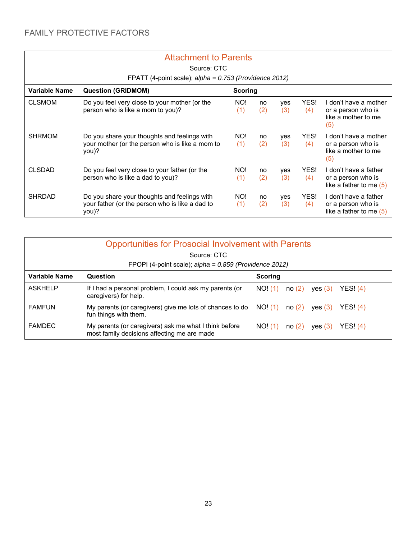$\overline{\phantom{a}}$ 

#### Attachment to Parents

| Source: CTC<br>FPATT (4-point scale); alpha = 0.753 (Providence 2012) |                                                                                                          |                |           |                   |             |                                                                           |  |
|-----------------------------------------------------------------------|----------------------------------------------------------------------------------------------------------|----------------|-----------|-------------------|-------------|---------------------------------------------------------------------------|--|
| <b>Variable Name</b>                                                  | <b>Question (GRIDMOM)</b>                                                                                | <b>Scoring</b> |           |                   |             |                                                                           |  |
| <b>CLSMOM</b>                                                         | Do you feel very close to your mother (or the<br>person who is like a mom to you)?                       | NO!<br>(1)     | no<br>(2) | yes<br>(3)        | YES!<br>(4) | don't have a mother<br>or a person who is<br>like a mother to me<br>(5)   |  |
| <b>SHRMOM</b>                                                         | Do you share your thoughts and feelings with<br>your mother (or the person who is like a mom to<br>you)? | NO!<br>(1)     | no<br>(2) | yes<br>(3)        | YES!<br>(4) | I don't have a mother<br>or a person who is<br>like a mother to me<br>(5) |  |
| <b>CLSDAD</b>                                                         | Do you feel very close to your father (or the<br>person who is like a dad to you)?                       | NO!<br>(1)     | no<br>(2) | yes<br>(3)        | YES!<br>(4) | I don't have a father<br>or a person who is<br>like a father to me (5)    |  |
| <b>SHRDAD</b>                                                         | Do you share your thoughts and feelings with<br>your father (or the person who is like a dad to<br>you)? | NO!<br>(1)     | no<br>(2) | <b>ves</b><br>(3) | YES!<br>(4) | I don't have a father<br>or a person who is<br>like a father to me $(5)$  |  |

| <b>Opportunities for Prosocial Involvement with Parents</b><br>Source: CTC<br>FPOPI (4-point scale); alpha = 0.859 (Providence 2012) |                                                                                                      |                                           |  |  |  |  |
|--------------------------------------------------------------------------------------------------------------------------------------|------------------------------------------------------------------------------------------------------|-------------------------------------------|--|--|--|--|
| Variable Name                                                                                                                        | Question                                                                                             | <b>Scoring</b>                            |  |  |  |  |
| <b>ASKHELP</b>                                                                                                                       | If I had a personal problem, I could ask my parents (or<br>caregivers) for help.                     | no(2)<br>NO! (1)<br>YES! $(4)$<br>yes (3) |  |  |  |  |
| <b>FAMFUN</b>                                                                                                                        | My parents (or caregivers) give me lots of chances to do<br>fun things with them.                    | NO! (1)<br>YES! (4)<br>no(2)<br>yes $(3)$ |  |  |  |  |
| <b>FAMDEC</b>                                                                                                                        | My parents (or caregivers) ask me what I think before<br>most family decisions affecting me are made | YES! $(4)$<br>NO! (1)<br>no(2)<br>ves (3) |  |  |  |  |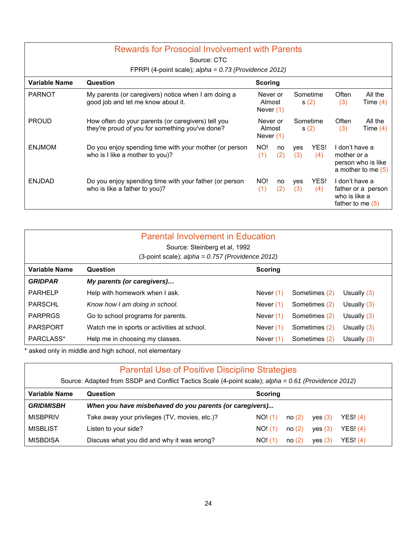| <b>Rewards for Prosocial Involvement with Parents</b><br>Source: CTC |                                                                                                       |                |                                                       |            |              |                                                                             |                                            |  |  |  |                  |              |                       |
|----------------------------------------------------------------------|-------------------------------------------------------------------------------------------------------|----------------|-------------------------------------------------------|------------|--------------|-----------------------------------------------------------------------------|--------------------------------------------|--|--|--|------------------|--------------|-----------------------|
|                                                                      | FPRPI (4-point scale); $alpha = 0.73$ (Providence 2012)                                               |                |                                                       |            |              |                                                                             |                                            |  |  |  |                  |              |                       |
| Variable Name                                                        | Question                                                                                              | <b>Scoring</b> |                                                       |            |              |                                                                             |                                            |  |  |  |                  |              |                       |
| <b>PARNOT</b>                                                        | My parents (or caregivers) notice when I am doing a<br>good job and let me know about it.             |                | Sometime<br>Never or<br>Almost<br>s(2)<br>Never $(1)$ |            | Often<br>(3) | All the<br>Time $(4)$                                                       |                                            |  |  |  |                  |              |                       |
| <b>PROUD</b>                                                         | How often do your parents (or caregivers) tell you<br>they're proud of you for something you've done? |                | Never or<br>Almost<br>Never $(1)$                     |            |              |                                                                             |                                            |  |  |  | Sometime<br>s(2) | Often<br>(3) | All the<br>Time $(4)$ |
| <b>ENJMOM</b>                                                        | Do you enjoy spending time with your mother (or person<br>who is I like a mother to you)?             | NO!<br>(1)     | no<br>(2)                                             | yes<br>(3) | YES!<br>(4)  | I don't have a<br>mother or a                                               | person who is like<br>a mother to me $(5)$ |  |  |  |                  |              |                       |
| <b>ENJDAD</b>                                                        | Do you enjoy spending time with your father (or person<br>who is like a father to you)?               | NO!<br>(1)     | no<br>(2)                                             | yes<br>(3) | YES!<br>(4)  | I don't have a<br>father or a person<br>who is like a<br>father to me $(5)$ |                                            |  |  |  |                  |              |                       |

| <b>Parental Involvement in Education</b><br>Source: Steinberg et al, 1992<br>(3-point scale); $alpha = 0.757$ (Providence 2012) |                                             |             |               |               |  |  |  |
|---------------------------------------------------------------------------------------------------------------------------------|---------------------------------------------|-------------|---------------|---------------|--|--|--|
| Variable Name                                                                                                                   | Question                                    | Scoring     |               |               |  |  |  |
| <b>GRIDPAR</b>                                                                                                                  | My parents (or caregivers)                  |             |               |               |  |  |  |
| <b>PARHELP</b>                                                                                                                  | Help with homework when I ask.              | Never $(1)$ | Sometimes (2) | Usually $(3)$ |  |  |  |
| PARSCHL                                                                                                                         | Know how I am doing in school.              | Never $(1)$ | Sometimes (2) | Usually $(3)$ |  |  |  |
| <b>PARPRGS</b>                                                                                                                  | Go to school programs for parents.          | Never $(1)$ | Sometimes (2) | Usually $(3)$ |  |  |  |
| PARSPORT                                                                                                                        | Watch me in sports or activities at school. | Never $(1)$ | Sometimes (2) | Usually $(3)$ |  |  |  |
| PARCLASS*                                                                                                                       | Help me in choosing my classes.             | Never $(1)$ | Sometimes (2) | Usually $(3)$ |  |  |  |

\* asked only in middle and high school, not elementary

| <b>Parental Use of Positive Discipline Strategies</b><br>Source: Adapted from SSDP and Conflict Tactics Scale (4-point scale); alpha = 0.61 (Providence 2012) |                                                         |                                           |  |  |  |
|---------------------------------------------------------------------------------------------------------------------------------------------------------------|---------------------------------------------------------|-------------------------------------------|--|--|--|
| Variable Name<br>Question<br>Scoring                                                                                                                          |                                                         |                                           |  |  |  |
| <b>GRIDMISBH</b>                                                                                                                                              | When you have misbehaved do you parents (or caregivers) |                                           |  |  |  |
| <b>MISBPRIV</b>                                                                                                                                               | Take away your privileges (TV, movies, etc.)?           | NO! (1)<br>YES! (4)<br>no(2)<br>ves (3)   |  |  |  |
| <b>MISBLIST</b>                                                                                                                                               | Listen to your side?                                    | YES! $(4)$<br>NO! (1)<br>no(2)<br>ves (3) |  |  |  |
| <b>MISBDISA</b>                                                                                                                                               | Discuss what you did and why it was wrong?              | YES! (4)<br>no(2)<br>NO! (1)<br>ves (3)   |  |  |  |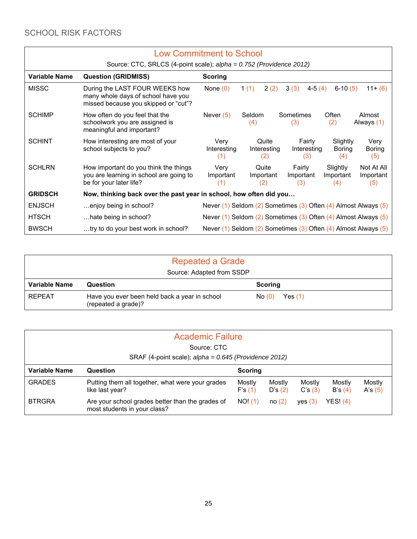|                      | <b>Low Commitment to School</b>                                                                                 |                                                                          |                                                         |                              |                              |                                |  |
|----------------------|-----------------------------------------------------------------------------------------------------------------|--------------------------------------------------------------------------|---------------------------------------------------------|------------------------------|------------------------------|--------------------------------|--|
|                      | Source: CTC, SRLCS (4-point scale); alpha = 0.752 (Providence 2012)                                             |                                                                          |                                                         |                              |                              |                                |  |
| <b>Variable Name</b> | <b>Question (GRIDMISS)</b>                                                                                      | <b>Scoring</b>                                                           |                                                         |                              |                              |                                |  |
| <b>MISSC</b>         | During the LAST FOUR WEEKS how<br>many whole days of school have you<br>missed because you skipped or "cut"?    | None $(0)$                                                               | 2(2)<br>1(1)                                            | 3(3)<br>$4-5(4)$             | $6-10(5)$                    | $11+(6)$                       |  |
| <b>SCHIMP</b>        | How often do you feel that the<br>schoolwork you are assigned is<br>meaningful and important?                   | Never $(5)$                                                              | Seldom<br>(4)                                           | Sometimes<br>(3)             | Often<br>(2)                 | Almost<br>Always (1)           |  |
| <b>SCHINT</b>        | How interesting are most of your<br>school subjects to you?                                                     | Very<br>Interesting<br>(1)                                               | Quite<br>Interesting<br>(2)                             | Fairly<br>Interesting<br>(3) | Slightly<br>Boring<br>(4)    | Very<br>Boring<br>(5)          |  |
| <b>SCHLRN</b>        | How important do you think the things<br>you are learning in school are going to<br>be for your later life?     | Very<br>Important<br>(1)                                                 | Quite<br>Fairly<br>Important<br>Important<br>(2)<br>(3) |                              | Slightly<br>Important<br>(4) | Not At All<br>Important<br>(5) |  |
| <b>GRIDSCH</b>       | Now, thinking back over the past year in school, how often did you                                              |                                                                          |                                                         |                              |                              |                                |  |
| <b>ENJSCH</b>        | enjoy being in school?                                                                                          | Never $(1)$ Seldom $(2)$ Sometimes $(3)$ Often $(4)$ Almost Always $(5)$ |                                                         |                              |                              |                                |  |
| <b>HTSCH</b>         | Never $(1)$ Seldom $(2)$ Sometimes $(3)$ Often $(4)$ Almost Always $(5)$<br>hate being in school?               |                                                                          |                                                         |                              |                              |                                |  |
| <b>BWSCH</b>         | try to do your best work in school?<br>Never $(1)$ Seldom $(2)$ Sometimes $(3)$ Often $(4)$ Almost Always $(5)$ |                                                                          |                                                         |                              |                              |                                |  |

| <b>Repeated a Grade</b>   |                                                                      |                    |  |  |
|---------------------------|----------------------------------------------------------------------|--------------------|--|--|
| Source: Adapted from SSDP |                                                                      |                    |  |  |
| Variable Name             | Question                                                             | <b>Scoring</b>     |  |  |
| <b>REPEAT</b>             | Have you ever been held back a year in school<br>(repeated a grade)? | Yes $(1)$<br>No(0) |  |  |

| <b>Academic Failure</b> |                                                                                  |                  |                  |                  |                     |                     |  |
|-------------------------|----------------------------------------------------------------------------------|------------------|------------------|------------------|---------------------|---------------------|--|
| Source: CTC             |                                                                                  |                  |                  |                  |                     |                     |  |
|                         | SRAF (4-point scale); $alpha = 0.645$ (Providence 2012)                          |                  |                  |                  |                     |                     |  |
| <b>Variable Name</b>    | Question                                                                         | Scoring          |                  |                  |                     |                     |  |
| <b>GRADES</b>           | Putting them all together, what were your grades<br>like last year?              | Mostly<br>F's(1) | Mostly<br>D's(2) | Mostly<br>C's(3) | Mostly<br>B's $(4)$ | Mostly<br>A's $(5)$ |  |
| <b>BTRGRA</b>           | Are your school grades better than the grades of<br>most students in your class? | NO! (1)          | no(2)            | ves (3)          | YES! (4)            |                     |  |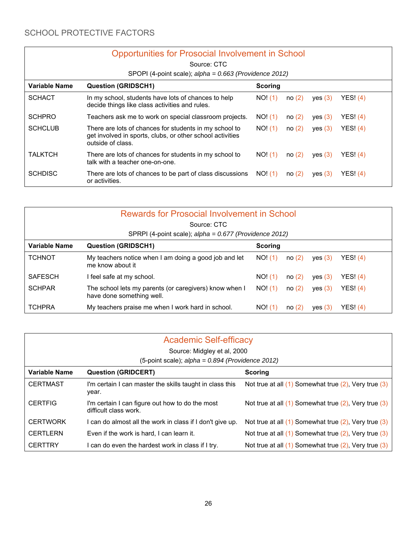| <b>Opportunities for Prosocial Involvement in School</b> |                                                                                                                                          |         |       |         |          |  |
|----------------------------------------------------------|------------------------------------------------------------------------------------------------------------------------------------------|---------|-------|---------|----------|--|
|                                                          | Source: CTC<br>SPOPI (4-point scale); alpha = 0.663 (Providence 2012)                                                                    |         |       |         |          |  |
| Variable Name                                            | <b>Question (GRIDSCH1)</b>                                                                                                               | Scoring |       |         |          |  |
| <b>SCHACT</b>                                            | In my school, students have lots of chances to help<br>decide things like class activities and rules.                                    | NO! (1) | no(2) | yes (3) | YESI(4)  |  |
| <b>SCHPRO</b>                                            | Teachers ask me to work on special classroom projects.                                                                                   | NO! (1) | no(2) | yes (3) | YES! (4) |  |
| <b>SCHCLUB</b>                                           | There are lots of chances for students in my school to<br>get involved in sports, clubs, or other school activities<br>outside of class. | NO! (1) | no(2) | ves (3) | YESI(4)  |  |
| <b>TALKTCH</b>                                           | There are lots of chances for students in my school to<br>talk with a teacher one-on-one.                                                | NO! (1) | no(2) | yes (3) | YES! (4) |  |
| <b>SCHDISC</b>                                           | There are lots of chances to be part of class discussions<br>or activities.                                                              | NO! (1) | no(2) | yes (3) | YESI(4)  |  |

| <b>Rewards for Prosocial Involvement in School</b>     |                                                                                     |                |       |         |          |  |
|--------------------------------------------------------|-------------------------------------------------------------------------------------|----------------|-------|---------|----------|--|
|                                                        | Source: CTC                                                                         |                |       |         |          |  |
| SPRPI (4-point scale); alpha = 0.677 (Providence 2012) |                                                                                     |                |       |         |          |  |
| Variable Name                                          | <b>Question (GRIDSCH1)</b>                                                          | <b>Scoring</b> |       |         |          |  |
| <b>TCHNOT</b>                                          | My teachers notice when I am doing a good job and let<br>me know about it           | NO! (1)        | no(2) | yes (3) | YESI(4)  |  |
| <b>SAFESCH</b>                                         | I feel safe at my school.                                                           | NO! (1)        | no(2) | yes (3) | YES! (4) |  |
| <b>SCHPAR</b>                                          | The school lets my parents (or caregivers) know when I<br>have done something well. | NO! (1)        | no(2) | yes (3) | YES! (4) |  |
| <b>TCHPRA</b>                                          | My teachers praise me when I work hard in school.                                   | NO! (1)        | no(2) | yes (3) | YES! (4) |  |

| <b>Academic Self-efficacy</b><br>Source: Midgley et al, 2000 |                                                                          |                                                             |  |  |  |  |
|--------------------------------------------------------------|--------------------------------------------------------------------------|-------------------------------------------------------------|--|--|--|--|
| (5-point scale); $alpha = 0.894$ (Providence 2012)           |                                                                          |                                                             |  |  |  |  |
| Variable Name                                                | <b>Question (GRIDCERT)</b><br><b>Scoring</b>                             |                                                             |  |  |  |  |
| <b>CERTMAST</b>                                              | I'm certain I can master the skills taught in class this<br>year.        | Not true at all (1) Somewhat true (2), Very true (3)        |  |  |  |  |
| <b>CERTFIG</b>                                               | I'm certain I can figure out how to do the most<br>difficult class work. | Not true at all (1) Somewhat true (2), Very true (3)        |  |  |  |  |
| <b>CERTWORK</b>                                              | I can do almost all the work in class if I don't give up.                | Not true at all (1) Somewhat true (2), Very true (3)        |  |  |  |  |
| <b>CERTLERN</b>                                              | Even if the work is hard, I can learn it.                                | Not true at all $(1)$ Somewhat true $(2)$ , Very true $(3)$ |  |  |  |  |
| <b>CERTTRY</b>                                               | I can do even the hardest work in class if I try.                        | Not true at all $(1)$ Somewhat true $(2)$ , Very true $(3)$ |  |  |  |  |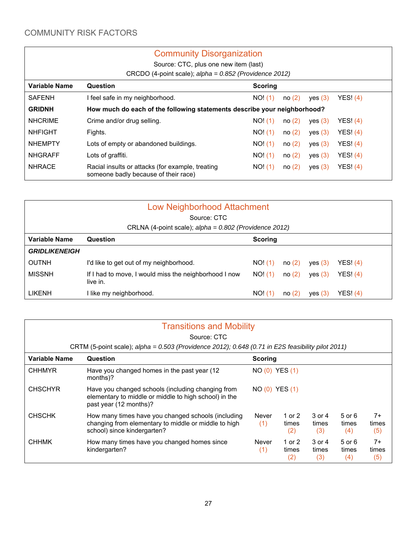### COMMUNITY RISK FACTORS

## Community Disorganization

Source: CTC, plus one new item (last)

CRCDO (4-point scale); *alpha = 0.852 (Providence 2012)*

| <b>Variable Name</b> | Question                                                                                 | Scoring |       |           |            |  |
|----------------------|------------------------------------------------------------------------------------------|---------|-------|-----------|------------|--|
| <b>SAFENH</b>        | I feel safe in my neighborhood.                                                          | NO! (1) | no(2) | yes (3)   | YES! $(4)$ |  |
| <b>GRIDNH</b>        | How much do each of the following statements describe your neighborhood?                 |         |       |           |            |  |
| <b>NHCRIME</b>       | Crime and/or drug selling.                                                               | NO! (1) | no(2) | yes $(3)$ | YES! (4)   |  |
| <b>NHFIGHT</b>       | Fights.                                                                                  | NO! (1) | no(2) | yes (3)   | YES! (4)   |  |
| <b>NHEMPTY</b>       | Lots of empty or abandoned buildings.                                                    | NO! (1) | no(2) | yes $(3)$ | YES! $(4)$ |  |
| <b>NHGRAFF</b>       | Lots of graffiti.                                                                        | NO! (1) | no(2) | yes (3)   | YES! $(4)$ |  |
| <b>NHRACE</b>        | Racial insults or attacks (for example, treating<br>someone badly because of their race) | NO! (1) | no(2) | yes (3)   | YES! $(4)$ |  |
|                      |                                                                                          |         |       |           |            |  |

| <b>Low Neighborhood Attachment</b>                     |                                                                   |                |       |         |            |  |
|--------------------------------------------------------|-------------------------------------------------------------------|----------------|-------|---------|------------|--|
|                                                        | Source: CTC                                                       |                |       |         |            |  |
| CRLNA (4-point scale); alpha = 0.802 (Providence 2012) |                                                                   |                |       |         |            |  |
| <b>Variable Name</b>                                   | Question                                                          | <b>Scoring</b> |       |         |            |  |
| <b>GRIDLIKENEIGH</b>                                   |                                                                   |                |       |         |            |  |
| <b>OUTNH</b>                                           | I'd like to get out of my neighborhood.                           | NO! (1)        | no(2) | yes (3) | YES! $(4)$ |  |
| <b>MISSNH</b>                                          | If I had to move, I would miss the neighborhood I now<br>live in. | NO! (1)        | no(2) | yes (3) | YES! (4)   |  |
| <b>LIKENH</b>                                          | I like my neighborhood.                                           | NO! (1)        | no(2) | ves (3) | YES! (4)   |  |

|                      | <b>Transitions and Mobility</b>                                                                                                           |                     |                          |                        |                            |                      |  |
|----------------------|-------------------------------------------------------------------------------------------------------------------------------------------|---------------------|--------------------------|------------------------|----------------------------|----------------------|--|
|                      | Source: CTC                                                                                                                               |                     |                          |                        |                            |                      |  |
|                      | CRTM (5-point scale); alpha = 0.503 (Providence 2012); 0.648 (0.71 in E2S feasibility pilot 2011)                                         |                     |                          |                        |                            |                      |  |
| <b>Variable Name</b> | Question                                                                                                                                  | <b>Scoring</b>      |                          |                        |                            |                      |  |
| <b>CHHMYR</b>        | Have you changed homes in the past year (12)<br>months)?                                                                                  | NO (0) YES (1)      |                          |                        |                            |                      |  |
| <b>CHSCHYR</b>       | Have you changed schools (including changing from<br>elementary to middle or middle to high school) in the<br>past year (12 months)?      | NO (0) YES (1)      |                          |                        |                            |                      |  |
| <b>CHSCHK</b>        | How many times have you changed schools (including<br>changing from elementary to middle or middle to high<br>school) since kindergarten? | <b>Never</b><br>(1) | 1 or $2$<br>times<br>(2) | 3 or 4<br>times<br>(3) | $5$ or $6$<br>times<br>(4) | $7+$<br>times<br>(5) |  |
| <b>CHHMK</b>         | How many times have you changed homes since<br>kindergarten?                                                                              | Never<br>(1)        | 1 or $2$<br>times<br>(2) | 3 or 4<br>times<br>(3) | 5 or 6<br>times<br>(4)     | $7+$<br>times<br>(5) |  |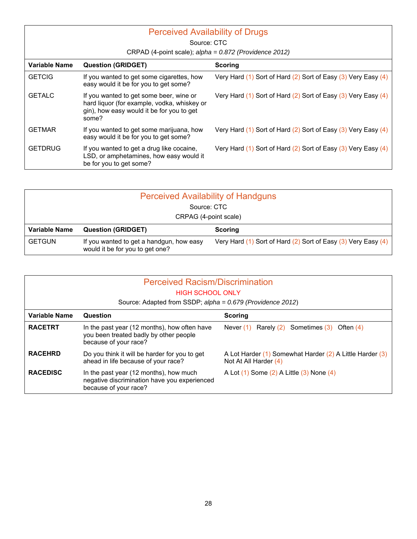| <b>Perceived Availability of Drugs</b><br>Source: CTC |                                                                                                                                              |                                                                       |  |  |
|-------------------------------------------------------|----------------------------------------------------------------------------------------------------------------------------------------------|-----------------------------------------------------------------------|--|--|
|                                                       |                                                                                                                                              |                                                                       |  |  |
|                                                       | CRPAD (4-point scale); alpha = 0.872 (Providence 2012)                                                                                       |                                                                       |  |  |
| Variable Name                                         | <b>Question (GRIDGET)</b>                                                                                                                    | Scoring                                                               |  |  |
| <b>GETCIG</b>                                         | If you wanted to get some cigarettes, how<br>easy would it be for you to get some?                                                           | Very Hard (1) Sort of Hard (2) Sort of Easy (3) Very Easy (4)         |  |  |
| <b>GETALC</b>                                         | If you wanted to get some beer, wine or<br>hard liquor (for example, vodka, whiskey or<br>gin), how easy would it be for you to get<br>some? | Very Hard $(1)$ Sort of Hard $(2)$ Sort of Easy $(3)$ Very Easy $(4)$ |  |  |
| <b>GETMAR</b>                                         | If you wanted to get some marijuana, how<br>easy would it be for you to get some?                                                            | Very Hard $(1)$ Sort of Hard $(2)$ Sort of Easy $(3)$ Very Easy $(4)$ |  |  |
| <b>GETDRUG</b>                                        | If you wanted to get a drug like cocaine,<br>LSD, or amphetamines, how easy would it<br>be for you to get some?                              | Very Hard $(1)$ Sort of Hard $(2)$ Sort of Easy $(3)$ Very Easy $(4)$ |  |  |

| <b>Perceived Availability of Handguns</b> |                                                                             |                                                                       |  |  |  |  |  |
|-------------------------------------------|-----------------------------------------------------------------------------|-----------------------------------------------------------------------|--|--|--|--|--|
|                                           | Source: CTC                                                                 |                                                                       |  |  |  |  |  |
|                                           | CRPAG (4-point scale)                                                       |                                                                       |  |  |  |  |  |
| <b>Variable Name</b>                      | <b>Question (GRIDGET)</b>                                                   | <b>Scoring</b>                                                        |  |  |  |  |  |
| <b>GETGUN</b>                             | If you wanted to get a handgun, how easy<br>would it be for you to get one? | Very Hard $(1)$ Sort of Hard $(2)$ Sort of Easy $(3)$ Very Easy $(4)$ |  |  |  |  |  |

| <b>Perceived Racism/Discrimination</b><br><b>HIGH SCHOOL ONLY</b> |                                                                                                                 |                                                                                   |  |  |  |
|-------------------------------------------------------------------|-----------------------------------------------------------------------------------------------------------------|-----------------------------------------------------------------------------------|--|--|--|
|                                                                   | Source: Adapted from SSDP; alpha = 0.679 (Providence 2012)                                                      |                                                                                   |  |  |  |
| Variable Name                                                     | Question<br><b>Scoring</b>                                                                                      |                                                                                   |  |  |  |
| <b>RACETRT</b>                                                    | In the past year (12 months), how often have<br>you been treated badly by other people<br>because of your race? | Never $(1)$ Rarely $(2)$ Sometimes $(3)$ Often $(4)$                              |  |  |  |
| <b>RACEHRD</b>                                                    | Do you think it will be harder for you to get<br>ahead in life because of your race?                            | A Lot Harder (1) Somewhat Harder (2) A Little Harder (3)<br>Not At All Harder (4) |  |  |  |
| <b>RACEDISC</b>                                                   | In the past year (12 months), how much<br>negative discrimination have you experienced<br>because of your race? | A Lot (1) Some (2) A Little (3) None (4)                                          |  |  |  |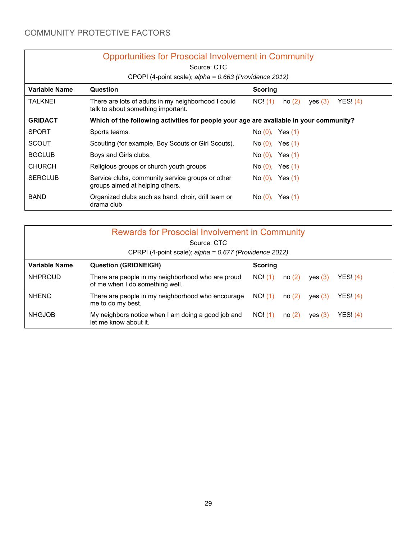|                      | <b>Opportunities for Prosocial Involvement in Community</b>                               |                                         |  |  |  |  |
|----------------------|-------------------------------------------------------------------------------------------|-----------------------------------------|--|--|--|--|
| Source: CTC          |                                                                                           |                                         |  |  |  |  |
|                      | CPOPI (4-point scale); $alpha = 0.663$ (Providence 2012)                                  |                                         |  |  |  |  |
| <b>Variable Name</b> | Question                                                                                  | Scoring                                 |  |  |  |  |
| <b>TALKNEI</b>       | There are lots of adults in my neighborhood I could<br>talk to about something important. | YES! (4)<br>NO! (1)<br>no(2)<br>yes (3) |  |  |  |  |
| <b>GRIDACT</b>       | Which of the following activities for people your age are available in your community?    |                                         |  |  |  |  |
| <b>SPORT</b>         | Sports teams.                                                                             | $No(0)$ , Yes $(1)$                     |  |  |  |  |
| <b>SCOUT</b>         | Scouting (for example, Boy Scouts or Girl Scouts).                                        | No(0), Yes(1)                           |  |  |  |  |
| <b>BGCLUB</b>        | Boys and Girls clubs.                                                                     | $No(0)$ , Yes $(1)$                     |  |  |  |  |
| <b>CHURCH</b>        | Religious groups or church youth groups                                                   | No(0), Yes(1)                           |  |  |  |  |
| <b>SERCLUB</b>       | Service clubs, community service groups or other<br>groups aimed at helping others.       | $No(0)$ , Yes $(1)$                     |  |  |  |  |
| <b>BAND</b>          | Organized clubs such as band, choir, drill team or<br>drama club                          | No $(0)$ , Yes $(1)$                    |  |  |  |  |

| <b>Rewards for Prosocial Involvement in Community</b><br>Source: CTC<br>CPRPI (4-point scale); alpha = 0.677 (Providence 2012) |                                                                                      |         |       |         |          |  |
|--------------------------------------------------------------------------------------------------------------------------------|--------------------------------------------------------------------------------------|---------|-------|---------|----------|--|
| Variable Name<br><b>Question (GRIDNEIGH)</b><br><b>Scoring</b>                                                                 |                                                                                      |         |       |         |          |  |
| <b>NHPROUD</b>                                                                                                                 | There are people in my neighborhood who are proud<br>of me when I do something well. | NO! (1) | no(2) | ves (3) | YES! (4) |  |
| <b>NHENC</b>                                                                                                                   | There are people in my neighborhood who encourage<br>me to do my best.               | NO! (1) | no(2) | ves (3) | YESI (4) |  |
| <b>NHGJOB</b>                                                                                                                  | My neighbors notice when I am doing a good job and<br>let me know about it.          | NO! (1) | no(2) | ves (3) | YES! (4) |  |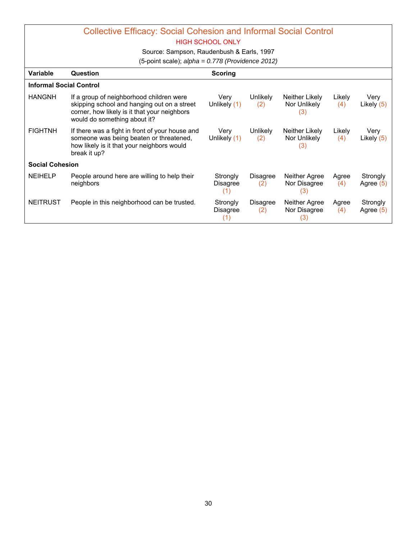# Collective Efficacy: Social Cohesion and Informal Social Control

HIGH SCHOOL ONLY

Source: Sampson, Raudenbush & Earls, 1997

(5-point scale); *alpha = 0.778 (Providence 2012)*

| Variable               | Question                                                                                                                                                                | <b>Scoring</b>              |                        |                                       |               |                       |
|------------------------|-------------------------------------------------------------------------------------------------------------------------------------------------------------------------|-----------------------------|------------------------|---------------------------------------|---------------|-----------------------|
|                        | <b>Informal Social Control</b>                                                                                                                                          |                             |                        |                                       |               |                       |
| <b>HANGNH</b>          | If a group of neighborhood children were<br>skipping school and hanging out on a street<br>corner, how likely is it that your neighbors<br>would do something about it? | Very<br>Unlikely (1)        | Unlikely<br>(2)        | Neither Likely<br>Nor Unlikely<br>(3) | Likely<br>(4) | Very<br>Likely (5)    |
| <b>FIGHTNH</b>         | If there was a fight in front of your house and<br>someone was being beaten or threatened,<br>how likely is it that your neighbors would<br>break it up?                | Very<br>Unlikely (1)        | Unlikely<br>(2)        | Neither Likely<br>Nor Unlikely<br>(3) | Likely<br>(4) | Very<br>Likely (5)    |
| <b>Social Cohesion</b> |                                                                                                                                                                         |                             |                        |                                       |               |                       |
| <b>NEIHELP</b>         | People around here are willing to help their<br>neighbors                                                                                                               | Strongly<br>Disagree<br>(1) | Disagree<br>(2)        | Neither Agree<br>Nor Disagree<br>(3)  | Agree<br>(4)  | Strongly<br>Agree (5) |
| <b>NEITRUST</b>        | People in this neighborhood can be trusted.                                                                                                                             | Strongly<br>Disagree        | <b>Disagree</b><br>(2) | Neither Agree<br>Nor Disagree<br>(3)  | Agree<br>(4)  | Strongly<br>Agree (5) |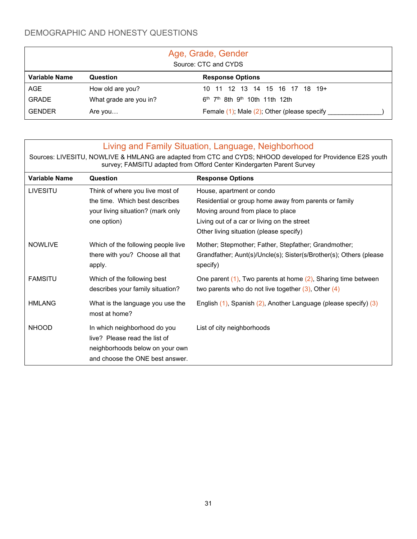# DEMOGRAPHIC AND HONESTY QUESTIONS

| Age, Grade, Gender<br>Source: CTC and CYDS |                        |                                                                    |  |  |  |
|--------------------------------------------|------------------------|--------------------------------------------------------------------|--|--|--|
| <b>Variable Name</b>                       | Question               | <b>Response Options</b>                                            |  |  |  |
| AGE                                        | How old are you?       | 10 11 12 13 14 15 16 17 18 19+                                     |  |  |  |
| <b>GRADE</b>                               | What grade are you in? | 6 <sup>th</sup> 7 <sup>th</sup> 8th 9 <sup>th</sup> 10th 11th 12th |  |  |  |
| <b>GENDER</b>                              | Are you                | Female $(1)$ ; Male $(2)$ ; Other (please specify                  |  |  |  |

|                 | Living and Family Situation, Language, Neighborhood                                                                                                                                  |                                                                                |  |  |  |  |
|-----------------|--------------------------------------------------------------------------------------------------------------------------------------------------------------------------------------|--------------------------------------------------------------------------------|--|--|--|--|
|                 | Sources: LIVESITU, NOWLIVE & HMLANG are adapted from CTC and CYDS; NHOOD developed for Providence E2S youth<br>survey; FAMSITU adapted from Offord Center Kindergarten Parent Survey |                                                                                |  |  |  |  |
| Variable Name   | Question                                                                                                                                                                             | <b>Response Options</b>                                                        |  |  |  |  |
| <b>LIVESITU</b> | Think of where you live most of                                                                                                                                                      | House, apartment or condo                                                      |  |  |  |  |
|                 | the time. Which best describes                                                                                                                                                       | Residential or group home away from parents or family                          |  |  |  |  |
|                 | your living situation? (mark only                                                                                                                                                    | Moving around from place to place                                              |  |  |  |  |
|                 | one option)                                                                                                                                                                          | Living out of a car or living on the street                                    |  |  |  |  |
|                 |                                                                                                                                                                                      | Other living situation (please specify)                                        |  |  |  |  |
| <b>NOWLIVE</b>  | Which of the following people live                                                                                                                                                   | Mother; Stepmother; Father, Stepfather; Grandmother;                           |  |  |  |  |
|                 | there with you? Choose all that<br>apply.                                                                                                                                            | Grandfather; Aunt(s)/Uncle(s); Sister(s/Brother(s); Others (please<br>specify) |  |  |  |  |
| <b>FAMSITU</b>  | Which of the following best                                                                                                                                                          | One parent $(1)$ , Two parents at home $(2)$ , Sharing time between            |  |  |  |  |
|                 | describes your family situation?                                                                                                                                                     | two parents who do not live together $(3)$ , Other $(4)$                       |  |  |  |  |
| <b>HMLANG</b>   | What is the language you use the<br>most at home?                                                                                                                                    | English (1), Spanish (2), Another Language (please specify) (3)                |  |  |  |  |
| <b>NHOOD</b>    | In which neighborhood do you                                                                                                                                                         | List of city neighborhoods                                                     |  |  |  |  |
|                 | live? Please read the list of                                                                                                                                                        |                                                                                |  |  |  |  |
|                 | neighborhoods below on your own                                                                                                                                                      |                                                                                |  |  |  |  |
|                 | and choose the ONE best answer.                                                                                                                                                      |                                                                                |  |  |  |  |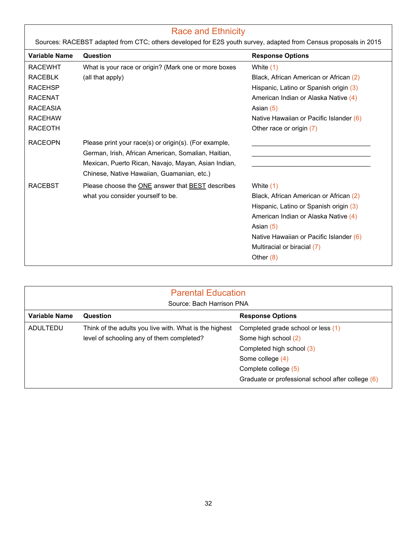| <b>Race and Ethnicity</b> |                                                                                                                                                                                                                   |                                                                                                                                                                                                                                             |  |  |  |
|---------------------------|-------------------------------------------------------------------------------------------------------------------------------------------------------------------------------------------------------------------|---------------------------------------------------------------------------------------------------------------------------------------------------------------------------------------------------------------------------------------------|--|--|--|
|                           | Sources: RACEBST adapted from CTC; others developed for E2S youth survey, adapted from Census proposals in 2015                                                                                                   |                                                                                                                                                                                                                                             |  |  |  |
| Variable Name             | Question                                                                                                                                                                                                          | <b>Response Options</b>                                                                                                                                                                                                                     |  |  |  |
| <b>RACEWHT</b>            | What is your race or origin? (Mark one or more boxes                                                                                                                                                              | White (1)                                                                                                                                                                                                                                   |  |  |  |
| <b>RACEBLK</b>            | (all that apply)                                                                                                                                                                                                  | Black, African American or African (2)                                                                                                                                                                                                      |  |  |  |
| <b>RACEHSP</b>            |                                                                                                                                                                                                                   | Hispanic, Latino or Spanish origin (3)                                                                                                                                                                                                      |  |  |  |
| <b>RACENAT</b>            |                                                                                                                                                                                                                   | American Indian or Alaska Native (4)                                                                                                                                                                                                        |  |  |  |
| <b>RACEASIA</b>           |                                                                                                                                                                                                                   | Asian $(5)$                                                                                                                                                                                                                                 |  |  |  |
| <b>RACEHAW</b>            |                                                                                                                                                                                                                   | Native Hawaiian or Pacific Islander (6)                                                                                                                                                                                                     |  |  |  |
| <b>RACEOTH</b>            |                                                                                                                                                                                                                   | Other race or origin (7)                                                                                                                                                                                                                    |  |  |  |
| <b>RACEOPN</b>            | Please print your race(s) or origin(s). (For example,<br>German, Irish, African American, Somalian, Haitian,<br>Mexican, Puerto Rican, Navajo, Mayan, Asian Indian,<br>Chinese, Native Hawaiian, Guamanian, etc.) |                                                                                                                                                                                                                                             |  |  |  |
| <b>RACEBST</b>            | Please choose the ONE answer that BEST describes<br>what you consider yourself to be.                                                                                                                             | White (1)<br>Black, African American or African (2)<br>Hispanic, Latino or Spanish origin (3)<br>American Indian or Alaska Native (4)<br>Asian (5)<br>Native Hawaiian or Pacific Islander (6)<br>Multiracial or biracial (7)<br>Other $(8)$ |  |  |  |

| <b>Parental Education</b><br>Source: Bach Harrison PNA |                                                        |                                                   |  |  |  |  |
|--------------------------------------------------------|--------------------------------------------------------|---------------------------------------------------|--|--|--|--|
| Variable Name<br>Question<br><b>Response Options</b>   |                                                        |                                                   |  |  |  |  |
| ADULTEDU                                               | Think of the adults you live with. What is the highest | Completed grade school or less (1)                |  |  |  |  |
|                                                        | level of schooling any of them completed?              | Some high school (2)                              |  |  |  |  |
|                                                        |                                                        | Completed high school (3)                         |  |  |  |  |
|                                                        |                                                        | Some college (4)                                  |  |  |  |  |
|                                                        |                                                        | Complete college (5)                              |  |  |  |  |
|                                                        |                                                        | Graduate or professional school after college (6) |  |  |  |  |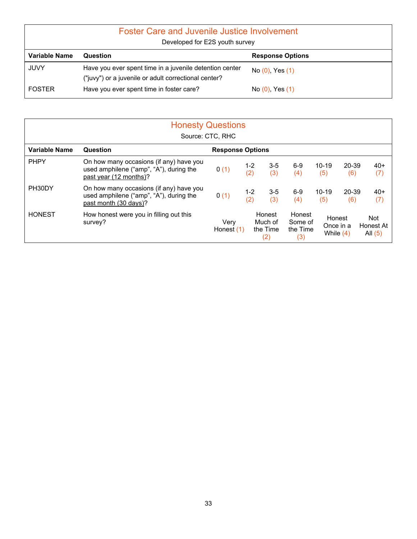| <b>Foster Care and Juvenile Justice Involvement</b><br>Developed for E2S youth survey |                                                                                                                 |                      |  |  |  |  |
|---------------------------------------------------------------------------------------|-----------------------------------------------------------------------------------------------------------------|----------------------|--|--|--|--|
| Variable Name                                                                         | <b>Response Options</b><br>Question                                                                             |                      |  |  |  |  |
| <b>JUVY</b>                                                                           | Have you ever spent time in a juvenile detention center<br>("juvy") or a juvenile or adult correctional center? | No $(0)$ , Yes $(1)$ |  |  |  |  |
| <b>FOSTER</b>                                                                         | Have you ever spent time in foster care?                                                                        | No $(0)$ , Yes $(1)$ |  |  |  |  |

| <b>Honesty Questions</b><br>Source: CTC, RHC |                                                                                                              |                         |                |                                      |                                      |                          |              |                               |
|----------------------------------------------|--------------------------------------------------------------------------------------------------------------|-------------------------|----------------|--------------------------------------|--------------------------------------|--------------------------|--------------|-------------------------------|
| Variable Name                                | Question                                                                                                     | <b>Response Options</b> |                |                                      |                                      |                          |              |                               |
| <b>PHPY</b>                                  | On how many occasions (if any) have you<br>used amphilene ("amp", "A"), during the<br>past year (12 months)? | 0(1)                    | $1 - 2$<br>(2) | $3 - 5$<br>(3)                       | $6-9$<br>(4)                         | $10 - 19$<br>(5)         | 20-39<br>(6) | $40+$<br>(7)                  |
| PH30DY                                       | On how many occasions (if any) have you<br>used amphilene ("amp", "A"), during the<br>past month (30 days)?  | 0(1)                    | $1 - 2$<br>(2) | $3 - 5$<br>(3)                       | $6-9$<br>(4)                         | $10 - 19$<br>(5)         | 20-39<br>(6) | $40+$<br>(7)                  |
| <b>HONEST</b>                                | How honest were you in filling out this<br>survey?                                                           | Very<br>Honest $(1)$    |                | Honest<br>Much of<br>the Time<br>(2) | Honest<br>Some of<br>the Time<br>(3) | Once in a<br>While $(4)$ | Honest       | Not<br>Honest At<br>All $(5)$ |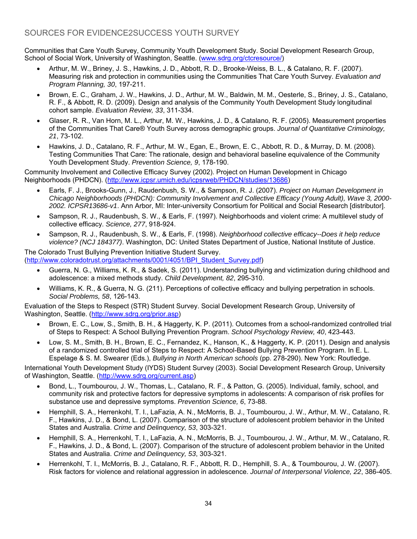#### SOURCES FOR EVIDENCE2SUCCESS YOUTH SURVEY

Communities that Care Youth Survey, Community Youth Development Study. Social Development Research Group, School of Social Work, University of Washington, Seattle. (www.sdrg.org/ctcresource/)

- Arthur, M. W., Briney, J. S., Hawkins, J. D., Abbott, R. D., Brooke-Weiss, B. L., & Catalano, R. F. (2007). Measuring risk and protection in communities using the Communities That Care Youth Survey. *Evaluation and Program Planning, 30*, 197-211.
- Brown, E. C., Graham, J. W., Hawkins, J. D., Arthur, M. W., Baldwin, M. M., Oesterle, S., Briney, J. S., Catalano, R. F., & Abbott, R. D. (2009). Design and analysis of the Community Youth Development Study longitudinal cohort sample. *Evaluation Review, 33*, 311-334.
- Glaser, R. R., Van Horn, M. L., Arthur, M. W., Hawkins, J. D., & Catalano, R. F. (2005). Measurement properties of the Communities That Care® Youth Survey across demographic groups. *Journal of Quantitative Criminology, 21*, 73-102.
- Hawkins, J. D., Catalano, R. F., Arthur, M. W., Egan, E., Brown, E. C., Abbott, R. D., & Murray, D. M. (2008). Testing Communities That Care: The rationale, design and behavioral baseline equivalence of the Community Youth Development Study. *Prevention Science, 9*, 178-190.

Community Involvement and Collective Efficacy Survey (2002). Project on Human Development in Chicago Neighborhoods (PHDCN). (http://www.icpsr.umich.edu/icpsrweb/PHDCN/studies/13686)

- Earls, F. J., Brooks-Gunn, J., Raudenbush, S. W., & Sampson, R. J. (2007). *Project on Human Development in Chicago Neighborhoods (PHDCN): Community Involvement and Collective Efficacy (Young Adult), Wave 3, 2000- 2002. ICPSR13686-v1*. Ann Arbor, MI: Inter-university Consortium for Political and Social Research [distributor].
- Sampson, R. J., Raudenbush, S. W., & Earls, F. (1997). Neighborhoods and violent crime: A multilevel study of collective efficacy. *Science, 277*, 918-924.
- Sampson, R. J., Raudenbush, S. W., & Earls, F. (1998). *Neighborhood collective efficacy--Does it help reduce violence? (NCJ 184377)*. Washington, DC: United States Department of Justice, National Institute of Justice.

#### The Colorado Trust Bullying Prevention Initiative Student Survey. (http://www.coloradotrust.org/attachments/0001/4051/BPI\_Student\_Survey.pdf)

- Guerra, N. G., Williams, K. R., & Sadek, S. (2011). Understanding bullying and victimization during childhood and adolescence: a mixed methods study. *Child Development, 82*, 295-310.
- Williams, K. R., & Guerra, N. G. (211). Perceptions of collective efficacy and bullying perpetration in schools. *Social Problems, 58*, 126-143.

Evaluation of the Steps to Respect (STR) Student Survey. Social Development Research Group, University of Washington, Seattle. (http://www.sdrg.org/prior.asp)

- Brown, E. C., Low, S., Smith, B. H., & Haggerty, K. P. (2011). Outcomes from a school-randomized controlled trial of Steps to Respect: A School Bullying Prevention Program. *School Psychology Review, 40*, 423-443.
- Low, S. M., Smith, B. H., Brown, E. C., Fernandez, K., Hanson, K., & Haggerty, K. P. (2011). Design and analysis of a randomized controlled trial of Steps to Respect: A School-Based Bullying Prevention Program. In E. L. Espelage & S. M. Swearer (Eds.), *Bullying in North American schools* (pp. 278-290). New York: Routledge.

International Youth Development Study (IYDS) Student Survey (2003). Social Development Research Group, University of Washington, Seattle. (http://www.sdrg.org/current.asp)

- Bond, L., Toumbourou, J. W., Thomas, L., Catalano, R. F., & Patton, G. (2005). Individual, family, school, and community risk and protective factors for depressive symptoms in adolescents: A comparison of risk profiles for substance use and depressive symptoms. *Prevention Science, 6*, 73-88.
- Hemphill, S. A., Herrenkohl, T. I., LaFazia, A. N., McMorris, B. J., Toumbourou, J. W., Arthur, M. W., Catalano, R. F., Hawkins, J. D., & Bond, L. (2007). Comparison of the structure of adolescent problem behavior in the United States and Australia. *Crime and Delinquency, 53*, 303-321.
- Hemphill, S. A., Herrenkohl, T. I., LaFazia, A. N., McMorris, B. J., Toumbourou, J. W., Arthur, M. W., Catalano, R. F., Hawkins, J. D., & Bond, L. (2007). Comparison of the structure of adolescent problem behavior in the United States and Australia. *Crime and Delinquency, 53*, 303-321.
- Herrenkohl, T. I., McMorris, B. J., Catalano, R. F., Abbott, R. D., Hemphill, S. A., & Toumbourou, J. W. (2007). Risk factors for violence and relational aggression in adolescence. *Journal of Interpersonal Violence, 22*, 386-405.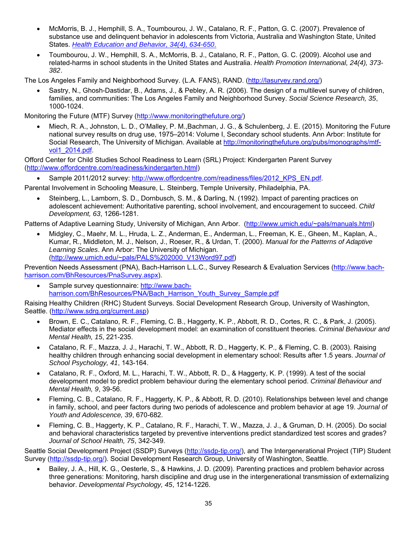- McMorris, B. J., Hemphill, S. A., Toumbourou, J. W., Catalano, R. F., Patton, G. C. (2007). Prevalence of substance use and delinquent behavior in adolescents from Victoria, Australia and Washington State, United States. *Health Education and Behavior, 34(4), 634-650*.
- Toumbourou, J. W., Hemphill, S. A., McMorris, B. J., Catalano, R. F., Patton, G. C. (2009). Alcohol use and related-harms in school students in the United States and Australia. *Health Promotion International, 24(4), 373- 382*.

The Los Angeles Family and Neighborhood Survey. (L.A. FANS), RAND. (http://lasurvey.rand.org/)

 Sastry, N., Ghosh-Dastidar, B., Adams, J., & Pebley, A. R. (2006). The design of a multilevel survey of children, families, and communities: The Los Angeles Family and Neighborhood Survey. *Social Science Research, 35*, 1000-1024.

Monitoring the Future (MTF) Survey (http://www.monitoringthefuture.org/)

 Miech, R. A., Johnston, L. D., O'Malley, P. M.,Bachman, J. G., & Schulenberg, J. E. (2015). Monitoring the Future national survey results on drug use, 1975–2014: Volume I, Secondary school students. Ann Arbor: Institute for Social Research, The University of Michigan. Available at http://monitoringthefuture.org/pubs/monographs/mtfvol1\_2014.pdf.

Offord Center for Child Studies School Readiness to Learn (SRL) Project: Kindergarten Parent Survey (http://www.offordcentre.com/readiness/kindergarten.html)

Sample 2011/2012 survey: http://www.offordcentre.com/readiness/files/2012\_KPS\_EN.pdf.

Parental Involvement in Schooling Measure, L. Steinberg, Temple University, Philadelphia, PA.

 Steinberg, L., Lamborn, S. D., Dornbusch, S. M., & Darling, N. (1992). Impact of parenting practices on adolescent achievement: Authoritative parenting, school involvement, and encouragement to succeed. *Child Development, 63*, 1266-1281.

Patterns of Adaptive Learning Study, University of Michigan, Ann Arbor. (http://www.umich.edu/~pals/manuals.html)

 Midgley, C., Maehr, M. L., Hruda, L. Z., Anderman, E., Anderman, L., Freeman, K. E., Gheen, M., Kaplan, A., Kumar, R., Middleton, M. J., Nelson, J., Roeser, R., & Urdan, T. (2000). *Manual for the Patterns of Adaptive Learning Scales*. Ann Arbor: The University of Michigan. (http://www.umich.edu/~pals/PALS%202000\_V13Word97.pdf)

Prevention Needs Assessment (PNA), Bach-Harrison L.L.C., Survey Research & Evaluation Services (http://www.bachharrison.com/BhResources/PnaSurvey.aspx).

 Sample survey questionnaire: http://www.bachharrison.com/BhResources/PNA/Bach Harrison Youth Survey Sample.pdf

Raising Healthy Children (RHC) Student Surveys. Social Development Research Group, University of Washington, Seattle. (http://www.sdrg.org/current.asp)

- Brown, E. C., Catalano, R. F., Fleming, C. B., Haggerty, K. P., Abbott, R. D., Cortes, R. C., & Park, J. (2005). Mediator effects in the social development model: an examination of constituent theories. *Criminal Behaviour and Mental Health, 15*, 221-235.
- Catalano, R. F., Mazza, J. J., Harachi, T. W., Abbott, R. D., Haggerty, K. P., & Fleming, C. B. (2003). Raising healthy children through enhancing social development in elementary school: Results after 1.5 years. *Journal of School Psychology, 41*, 143-164.
- Catalano, R. F., Oxford, M. L., Harachi, T. W., Abbott, R. D., & Haggerty, K. P. (1999). A test of the social development model to predict problem behaviour during the elementary school period. *Criminal Behaviour and Mental Health, 9*, 39-56.
- Fleming, C. B., Catalano, R. F., Haggerty, K. P., & Abbott, R. D. (2010). Relationships between level and change in family, school, and peer factors during two periods of adolescence and problem behavior at age 19. *Journal of Youth and Adolescence, 39*, 670-682.
- Fleming, C. B., Haggerty, K. P., Catalano, R. F., Harachi, T. W., Mazza, J. J., & Gruman, D. H. (2005). Do social and behavioral characteristics targeted by preventive interventions predict standardized test scores and grades? *Journal of School Health, 75*, 342-349.

Seattle Social Development Project (SSDP) Surveys (http://ssdp-tip.org/), and The Intergenerational Project (TIP) Student Survey (http://ssdp-tip.org/). Social Development Research Group, University of Washington, Seattle.

 Bailey, J. A., Hill, K. G., Oesterle, S., & Hawkins, J. D. (2009). Parenting practices and problem behavior across three generations: Monitoring, harsh discipline and drug use in the intergenerational transmission of externalizing behavior. *Developmental Psychology, 45*, 1214-1226.